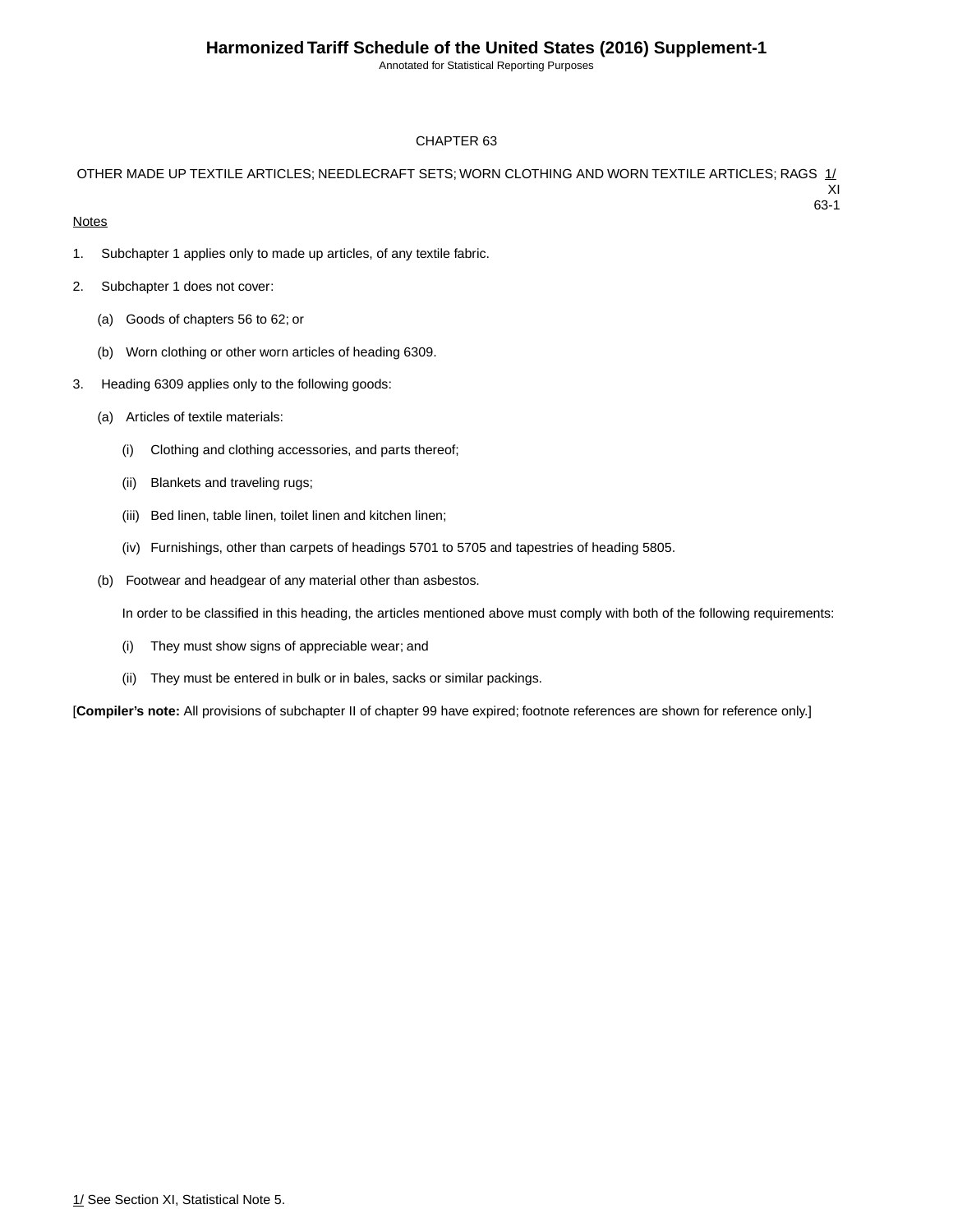Annotated for Statistical Reporting Purposes

#### CHAPTER 63

#### OTHER MADE UP TEXTILE ARTICLES; NEEDLECRAFT SETS; WORN CLOTHING AND WORN TEXTILE ARTICLES; RAGS 1/ XI 63-1

#### **Notes**

- 1. Subchapter 1 applies only to made up articles, of any textile fabric.
- 2. Subchapter 1 does not cover:
	- (a) Goods of chapters 56 to 62; or
	- (b) Worn clothing or other worn articles of heading 6309.
- 3. Heading 6309 applies only to the following goods:
	- (a) Articles of textile materials:
		- (i) Clothing and clothing accessories, and parts thereof;
		- (ii) Blankets and traveling rugs;
		- (iii) Bed linen, table linen, toilet linen and kitchen linen;
		- (iv) Furnishings, other than carpets of headings 5701 to 5705 and tapestries of heading 5805.
	- (b) Footwear and headgear of any material other than asbestos.

In order to be classified in this heading, the articles mentioned above must comply with both of the following requirements:

- (i) They must show signs of appreciable wear; and
- (ii) They must be entered in bulk or in bales, sacks or similar packings.

[**Compiler's note:** All provisions of subchapter II of chapter 99 have expired; footnote references are shown for reference only.]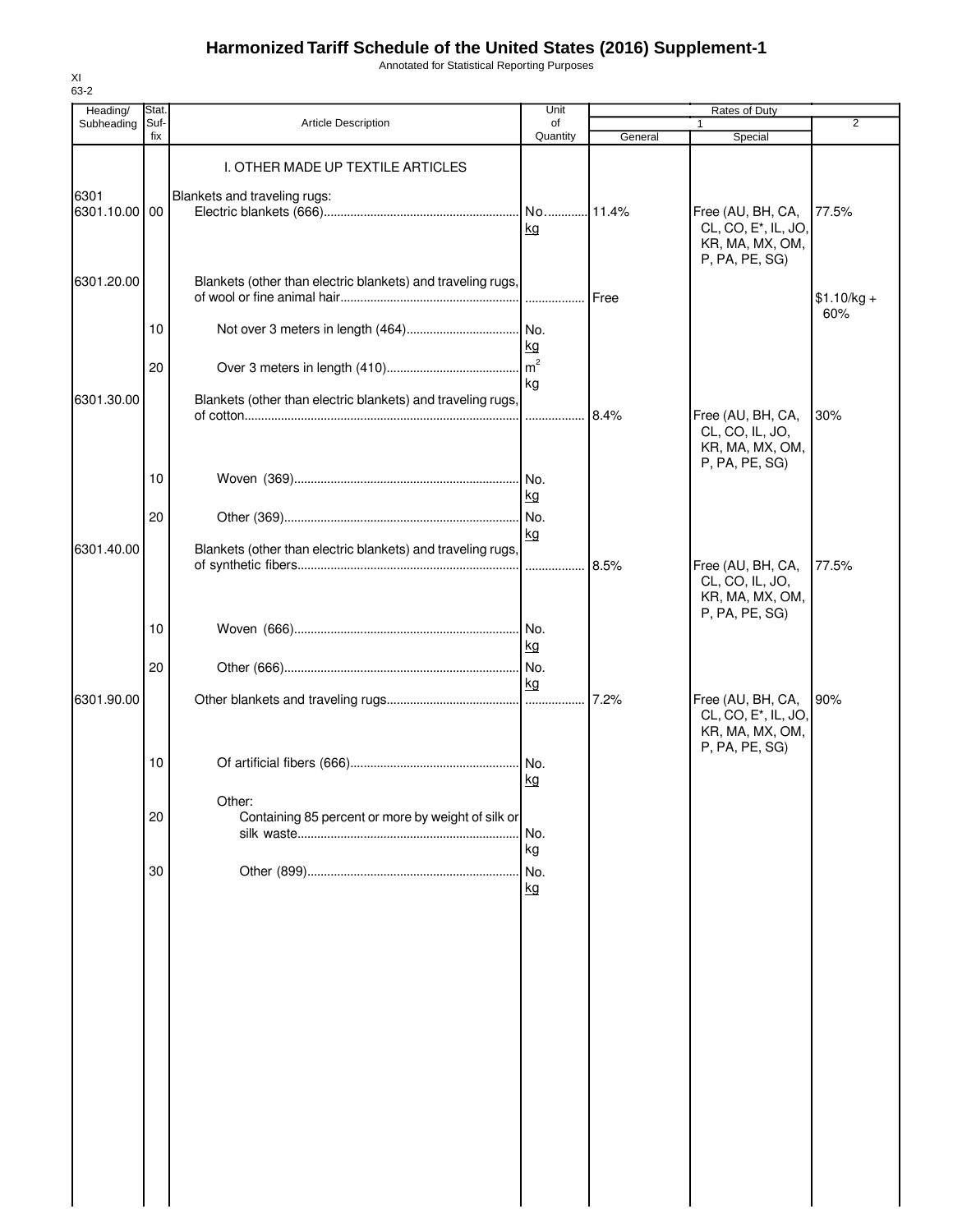Annotated for Statistical Reporting Purposes

| Heading/              | <b>Stat</b> |                                                              | Unit                 |         | Rates of Duty                                                             |                     |
|-----------------------|-------------|--------------------------------------------------------------|----------------------|---------|---------------------------------------------------------------------------|---------------------|
| Subheading            | Suf-<br>fix | <b>Article Description</b>                                   | of<br>Quantity       | General | 1                                                                         | $\overline{2}$      |
|                       |             | I. OTHER MADE UP TEXTILE ARTICLES                            |                      |         | Special                                                                   |                     |
| 6301<br>6301.10.00 00 |             | Blankets and traveling rugs:                                 | kg                   |         | Free (AU, BH, CA,<br>CL, CO, E <sup>*</sup> , IL, JO,<br>KR, MA, MX, OM,  | 77.5%               |
| 6301.20.00            |             | Blankets (other than electric blankets) and traveling rugs,  | .                    | Free    | P, PA, PE, SG)                                                            | $$1.10/kg +$<br>60% |
|                       | 10          |                                                              | kg                   |         |                                                                           |                     |
| 6301.30.00            | 20          | Blankets (other than electric blankets) and traveling rugs,  | m <sup>2</sup><br>kg |         |                                                                           |                     |
|                       |             |                                                              |                      | 8.4%    | Free (AU, BH, CA,<br>CL, CO, IL, JO,<br>KR, MA, MX, OM,<br>P, PA, PE, SG) | 30%                 |
|                       | 10<br>20    |                                                              | kg                   |         |                                                                           |                     |
| 6301.40.00            |             | Blankets (other than electric blankets) and traveling rugs,  | kg<br>.              | 8.5%    | Free (AU, BH, CA,                                                         | 77.5%               |
|                       |             |                                                              |                      |         | CL, CO, IL, JO,<br>KR, MA, MX, OM,<br>P, PA, PE, SG)                      |                     |
|                       | 10          |                                                              | kg                   |         |                                                                           |                     |
| 6301.90.00            | 20          |                                                              | No.<br>kg            | 7.2%    | Free (AU, BH, CA,                                                         | 90%                 |
|                       |             |                                                              |                      |         | CL, CO, E <sup>*</sup> , IL, JO,<br>KR, MA, MX, OM,<br>P, PA, PE, SG)     |                     |
|                       | 10          |                                                              | kg                   |         |                                                                           |                     |
|                       | 20          | Other:<br>Containing 85 percent or more by weight of silk or | No.                  |         |                                                                           |                     |
|                       | 30          |                                                              | kg<br>No.<br>kg      |         |                                                                           |                     |
|                       |             |                                                              |                      |         |                                                                           |                     |
|                       |             |                                                              |                      |         |                                                                           |                     |
|                       |             |                                                              |                      |         |                                                                           |                     |
|                       |             |                                                              |                      |         |                                                                           |                     |
|                       |             |                                                              |                      |         |                                                                           |                     |
|                       |             |                                                              |                      |         |                                                                           |                     |
|                       |             |                                                              |                      |         |                                                                           |                     |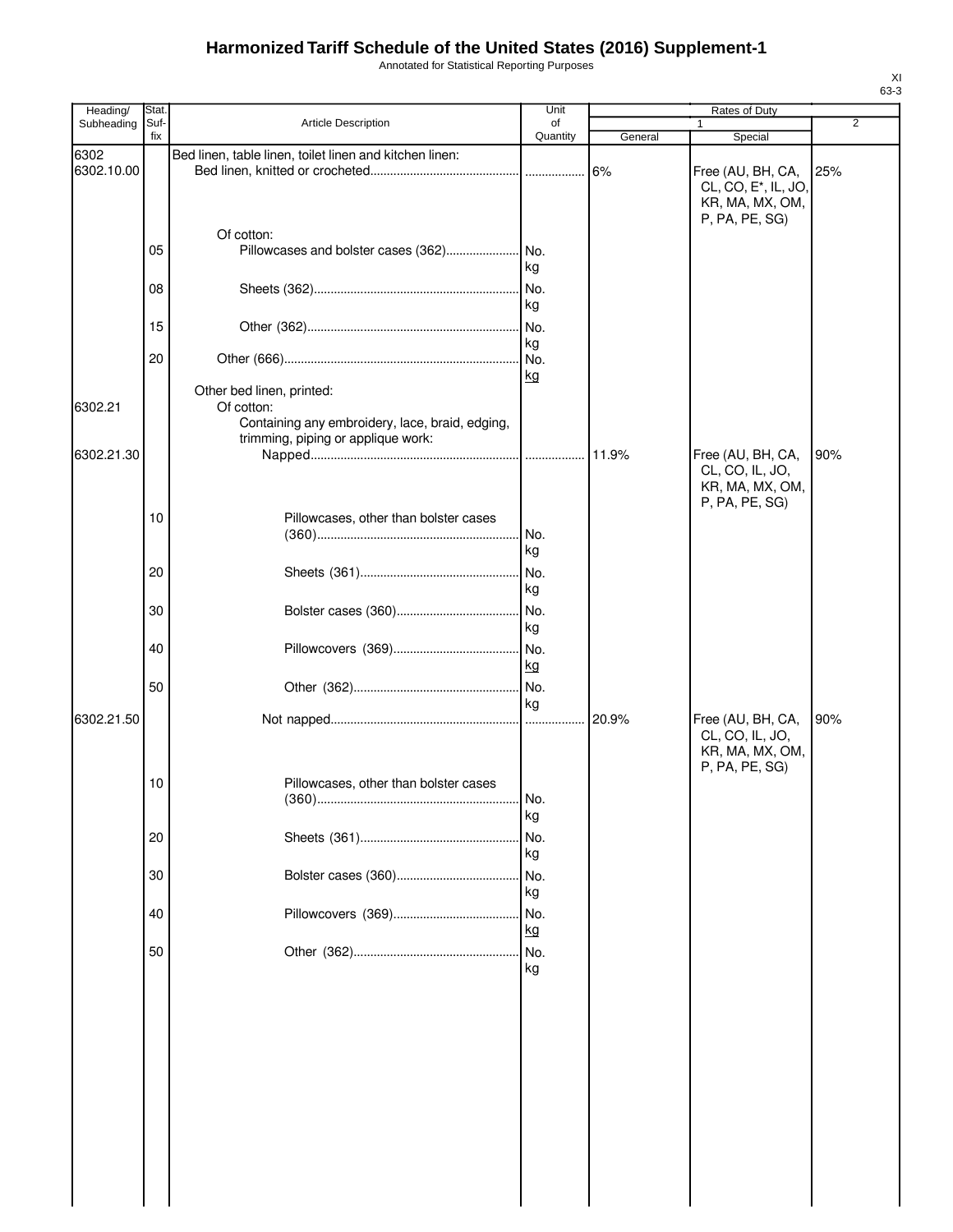Annotated for Statistical Reporting Purposes

| Heading/           | Stat.       |                                                                                                                                  | Unit           |         | Rates of Duty                                                                              |     |
|--------------------|-------------|----------------------------------------------------------------------------------------------------------------------------------|----------------|---------|--------------------------------------------------------------------------------------------|-----|
| Subheading         | Suf-<br>fix | Article Description                                                                                                              | of<br>Quantity | General | $\mathbf{1}$<br>Special                                                                    | 2   |
| 6302<br>6302.10.00 |             | Bed linen, table linen, toilet linen and kitchen linen:                                                                          |                |         | Free (AU, BH, CA,<br>CL, CO, E <sup>*</sup> , IL, JO,<br>KR, MA, MX, OM,<br>P, PA, PE, SG) | 25% |
|                    | 05          | Of cotton:                                                                                                                       | kg             |         |                                                                                            |     |
|                    | 08          |                                                                                                                                  | kg             |         |                                                                                            |     |
|                    | 15          |                                                                                                                                  | kg             |         |                                                                                            |     |
|                    | 20          |                                                                                                                                  | kg             |         |                                                                                            |     |
| 6302.21            |             | Other bed linen, printed:<br>Of cotton:<br>Containing any embroidery, lace, braid, edging,<br>trimming, piping or applique work: |                |         |                                                                                            |     |
| 6302.21.30         |             |                                                                                                                                  |                | 11.9%   | Free (AU, BH, CA,<br>CL, CO, IL, JO,<br>KR, MA, MX, OM,<br>P, PA, PE, SG)                  | 90% |
|                    | 10          | Pillowcases, other than bolster cases                                                                                            | No.<br>kg      |         |                                                                                            |     |
|                    | 20          |                                                                                                                                  | No.<br>kg      |         |                                                                                            |     |
|                    | 30          |                                                                                                                                  | No.<br>kg      |         |                                                                                            |     |
|                    | 40          |                                                                                                                                  | No.<br>kg      |         |                                                                                            |     |
|                    | 50          |                                                                                                                                  | No.<br>kg      |         |                                                                                            |     |
| 6302.21.50         |             |                                                                                                                                  |                |         | Free (AU, BH, CA,<br>CL, CO, IL, JO,<br>KR, MA, MX, OM,<br>P, PA, PE, SG)                  | 90% |
|                    | 10          | Pillowcases, other than bolster cases                                                                                            | No.<br>kg      |         |                                                                                            |     |
|                    | 20          |                                                                                                                                  | No.<br>kg      |         |                                                                                            |     |
|                    | 30          |                                                                                                                                  | No.<br>kg      |         |                                                                                            |     |
|                    | 40          |                                                                                                                                  | No.<br>kg      |         |                                                                                            |     |
|                    | 50          |                                                                                                                                  | kg             |         |                                                                                            |     |
|                    |             |                                                                                                                                  |                |         |                                                                                            |     |
|                    |             |                                                                                                                                  |                |         |                                                                                            |     |
|                    |             |                                                                                                                                  |                |         |                                                                                            |     |
|                    |             |                                                                                                                                  |                |         |                                                                                            |     |
|                    |             |                                                                                                                                  |                |         |                                                                                            |     |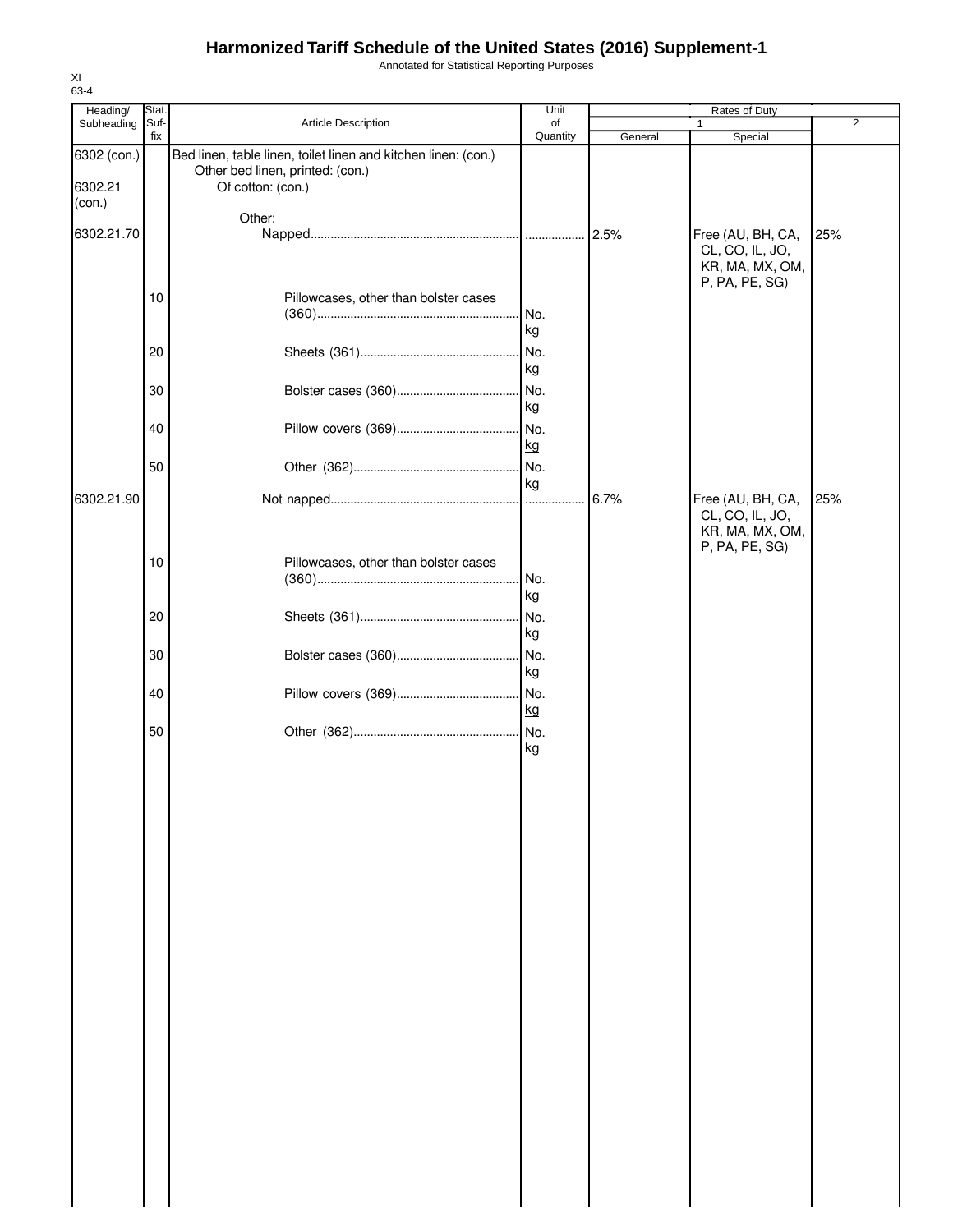Annotated for Statistical Reporting Purposes

| Heading/                         | Stat. |                                                                                                                         | Unit        |         | Rates of Duty                                                             |     |
|----------------------------------|-------|-------------------------------------------------------------------------------------------------------------------------|-------------|---------|---------------------------------------------------------------------------|-----|
| Subheading                       | Suf-  | Article Description                                                                                                     | of          |         | 1                                                                         | 2   |
|                                  | fix   |                                                                                                                         | Quantity    | General | Special                                                                   |     |
| 6302 (con.)<br>6302.21<br>(con.) |       | Bed linen, table linen, toilet linen and kitchen linen: (con.)<br>Other bed linen, printed: (con.)<br>Of cotton: (con.) |             |         |                                                                           |     |
|                                  |       | Other:                                                                                                                  |             |         |                                                                           |     |
| 6302.21.70                       |       |                                                                                                                         |             | 2.5%    | Free (AU, BH, CA,<br>CL, CO, IL, JO,<br>KR, MA, MX, OM,<br>P, PA, PE, SG) | 25% |
|                                  | 10    | Pillowcases, other than bolster cases                                                                                   | No.<br>kg   |         |                                                                           |     |
|                                  | 20    |                                                                                                                         | No.<br>kg   |         |                                                                           |     |
|                                  | 30    |                                                                                                                         | No.<br>kg   |         |                                                                           |     |
|                                  | 40    |                                                                                                                         | . No.<br>kg |         |                                                                           |     |
|                                  | 50    |                                                                                                                         | No.<br>kg   |         |                                                                           |     |
| 6302.21.90                       |       |                                                                                                                         |             | 6.7%    | Free (AU, BH, CA,<br>CL, CO, IL, JO,<br>KR, MA, MX, OM,<br>P, PA, PE, SG) | 25% |
|                                  | 10    | Pillowcases, other than bolster cases                                                                                   | No.<br>kg   |         |                                                                           |     |
|                                  | 20    |                                                                                                                         | No.<br>kg   |         |                                                                           |     |
|                                  | 30    |                                                                                                                         | No.<br>kg   |         |                                                                           |     |
|                                  | 40    |                                                                                                                         | No.<br>kg   |         |                                                                           |     |
|                                  | 50    |                                                                                                                         | kg          |         |                                                                           |     |
|                                  |       |                                                                                                                         |             |         |                                                                           |     |
|                                  |       |                                                                                                                         |             |         |                                                                           |     |
|                                  |       |                                                                                                                         |             |         |                                                                           |     |
|                                  |       |                                                                                                                         |             |         |                                                                           |     |
|                                  |       |                                                                                                                         |             |         |                                                                           |     |
|                                  |       |                                                                                                                         |             |         |                                                                           |     |
|                                  |       |                                                                                                                         |             |         |                                                                           |     |
|                                  |       |                                                                                                                         |             |         |                                                                           |     |
|                                  |       |                                                                                                                         |             |         |                                                                           |     |
|                                  |       |                                                                                                                         |             |         |                                                                           |     |
|                                  |       |                                                                                                                         |             |         |                                                                           |     |
|                                  |       |                                                                                                                         |             |         |                                                                           |     |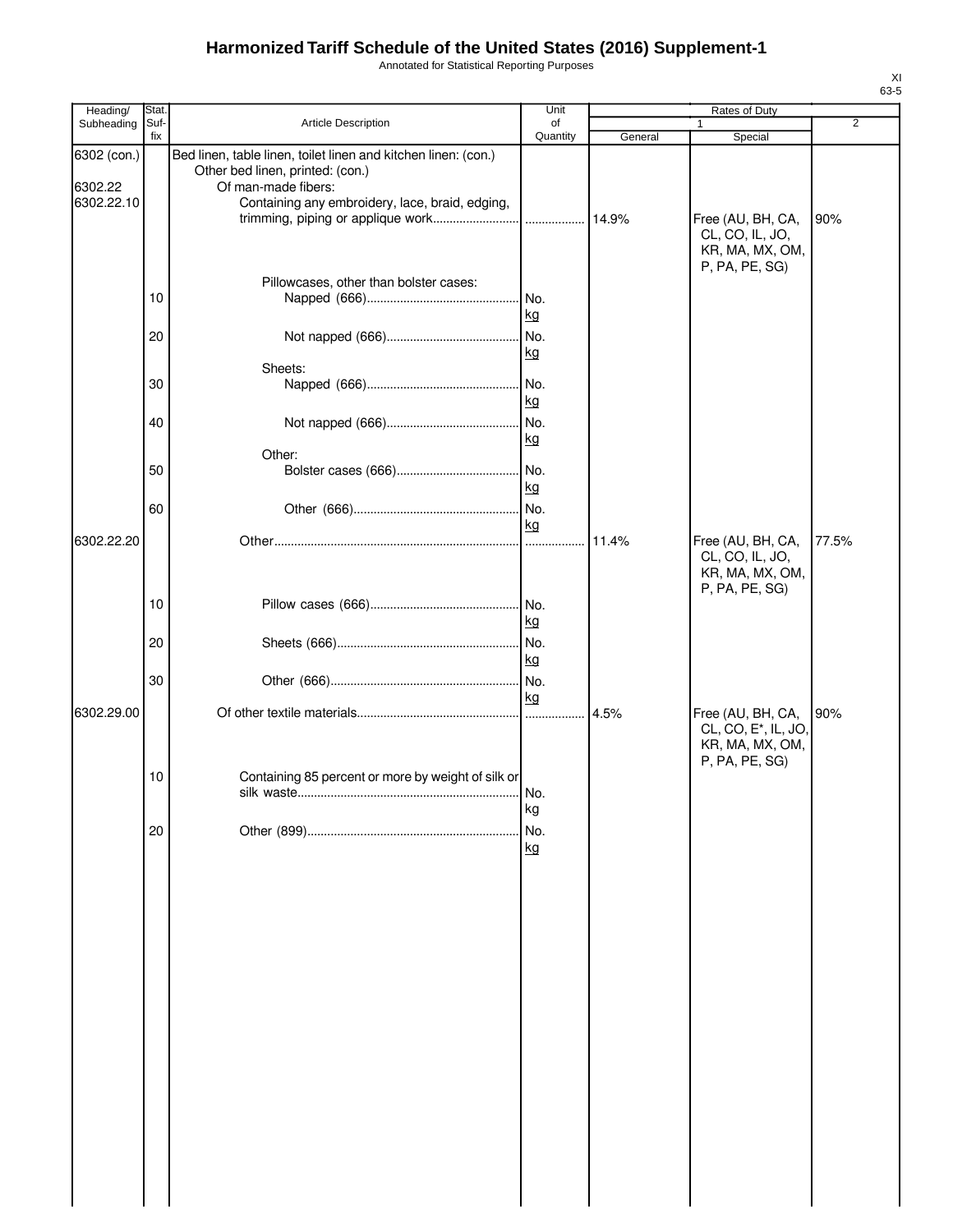Annotated for Statistical Reporting Purposes

| Heading/                             | Stat.       |                                                                                                                                                                              | Unit             |         | Rates of Duty                                                                              |                |
|--------------------------------------|-------------|------------------------------------------------------------------------------------------------------------------------------------------------------------------------------|------------------|---------|--------------------------------------------------------------------------------------------|----------------|
| Subheading                           | Suf-<br>fix | Article Description                                                                                                                                                          | of<br>Quantity   | General | Special                                                                                    | $\overline{2}$ |
| 6302 (con.)<br>6302.22<br>6302.22.10 |             | Bed linen, table linen, toilet linen and kitchen linen: (con.)<br>Other bed linen, printed: (con.)<br>Of man-made fibers:<br>Containing any embroidery, lace, braid, edging, |                  |         | Free (AU, BH, CA,<br>CL, CO, IL, JO,<br>KR, MA, MX, OM,                                    | 90%            |
|                                      | 10<br>20    | Pillowcases, other than bolster cases:                                                                                                                                       | No.<br>kg<br>No. |         | P, PA, PE, SG)                                                                             |                |
|                                      |             | Sheets:                                                                                                                                                                      | kg               |         |                                                                                            |                |
|                                      | 30          |                                                                                                                                                                              | No.<br>kg        |         |                                                                                            |                |
|                                      | 40          |                                                                                                                                                                              | No.<br>kg        |         |                                                                                            |                |
|                                      | 50          | Other:                                                                                                                                                                       | kg               |         |                                                                                            |                |
| 6302.22.20                           | 60          |                                                                                                                                                                              | kg               | 11.4%   | Free (AU, BH, CA,<br>CL, CO, IL, JO,<br>KR, MA, MX, OM,                                    | 77.5%          |
|                                      | 10          |                                                                                                                                                                              | kg               |         | P, PA, PE, SG)                                                                             |                |
|                                      | 20          |                                                                                                                                                                              | No.<br>kg        |         |                                                                                            |                |
|                                      | 30          |                                                                                                                                                                              | kg               |         |                                                                                            |                |
| 6302.29.00                           | 10          | Containing 85 percent or more by weight of silk or                                                                                                                           | .<br>No.         | 4.5%    | Free (AU, BH, CA,<br>CL, CO, E <sup>*</sup> , IL, JO,<br>KR, MA, MX, OM,<br>P, PA, PE, SG) | 90%            |
|                                      | 20          |                                                                                                                                                                              | kg<br>No.<br>kg  |         |                                                                                            |                |
|                                      |             |                                                                                                                                                                              |                  |         |                                                                                            |                |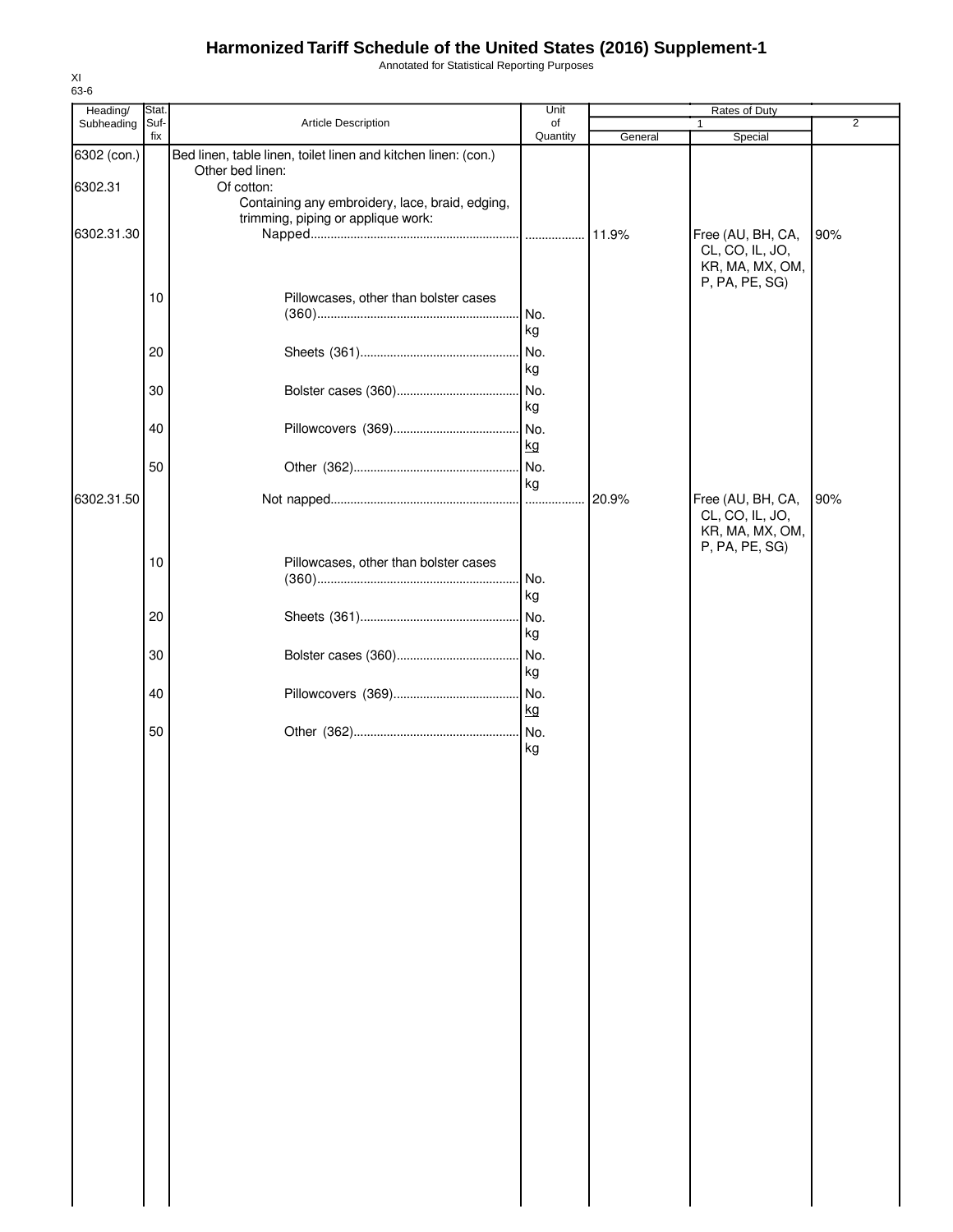Annotated for Statistical Reporting Purposes

| Heading/    | Stat.       |                                                                                       | Unit           |         | Rates of Duty                     |                |
|-------------|-------------|---------------------------------------------------------------------------------------|----------------|---------|-----------------------------------|----------------|
| Subheading  | Suf-<br>fix | Article Description                                                                   | of<br>Quantity | General | 1                                 | $\overline{2}$ |
| 6302 (con.) |             | Bed linen, table linen, toilet linen and kitchen linen: (con.)                        |                |         | Special                           |                |
|             |             | Other bed linen:                                                                      |                |         |                                   |                |
| 6302.31     |             | Of cotton:                                                                            |                |         |                                   |                |
|             |             | Containing any embroidery, lace, braid, edging,<br>trimming, piping or applique work: |                |         |                                   |                |
| 6302.31.30  |             |                                                                                       |                |         | Free (AU, BH, CA,                 | 90%            |
|             |             |                                                                                       |                |         | CL, CO, IL, JO,                   |                |
|             |             |                                                                                       |                |         | KR, MA, MX, OM,                   |                |
|             |             |                                                                                       |                |         | P, PA, PE, SG)                    |                |
|             | 10          | Pillowcases, other than bolster cases                                                 |                |         |                                   |                |
|             |             |                                                                                       | No.            |         |                                   |                |
|             |             |                                                                                       | kg             |         |                                   |                |
|             | 20          |                                                                                       | No.            |         |                                   |                |
|             |             |                                                                                       | kg             |         |                                   |                |
|             | 30          |                                                                                       | No.            |         |                                   |                |
|             |             |                                                                                       | kg             |         |                                   |                |
|             |             |                                                                                       |                |         |                                   |                |
|             | 40          |                                                                                       | No.            |         |                                   |                |
|             |             |                                                                                       | kg             |         |                                   |                |
|             | 50          |                                                                                       | No.            |         |                                   |                |
|             |             |                                                                                       | kg             |         |                                   |                |
| 6302.31.50  |             |                                                                                       |                | 20.9%   | Free (AU, BH, CA,                 | 90%            |
|             |             |                                                                                       |                |         | CL, CO, IL, JO,                   |                |
|             |             |                                                                                       |                |         | KR, MA, MX, OM,<br>P, PA, PE, SG) |                |
|             | 10          | Pillowcases, other than bolster cases                                                 |                |         |                                   |                |
|             |             |                                                                                       | . No.          |         |                                   |                |
|             |             |                                                                                       | kg             |         |                                   |                |
|             | 20          |                                                                                       | INo.           |         |                                   |                |
|             |             |                                                                                       | kg             |         |                                   |                |
|             |             |                                                                                       |                |         |                                   |                |
|             | 30          |                                                                                       | No.            |         |                                   |                |
|             |             |                                                                                       | kg             |         |                                   |                |
|             | 40          |                                                                                       | No.            |         |                                   |                |
|             |             |                                                                                       | kg             |         |                                   |                |
|             | 50          |                                                                                       |                |         |                                   |                |
|             |             |                                                                                       | kg             |         |                                   |                |
|             |             |                                                                                       |                |         |                                   |                |
|             |             |                                                                                       |                |         |                                   |                |
|             |             |                                                                                       |                |         |                                   |                |
|             |             |                                                                                       |                |         |                                   |                |
|             |             |                                                                                       |                |         |                                   |                |
|             |             |                                                                                       |                |         |                                   |                |
|             |             |                                                                                       |                |         |                                   |                |
|             |             |                                                                                       |                |         |                                   |                |
|             |             |                                                                                       |                |         |                                   |                |
|             |             |                                                                                       |                |         |                                   |                |
|             |             |                                                                                       |                |         |                                   |                |
|             |             |                                                                                       |                |         |                                   |                |
|             |             |                                                                                       |                |         |                                   |                |
|             |             |                                                                                       |                |         |                                   |                |
|             |             |                                                                                       |                |         |                                   |                |
|             |             |                                                                                       |                |         |                                   |                |
|             |             |                                                                                       |                |         |                                   |                |
|             |             |                                                                                       |                |         |                                   |                |
|             |             |                                                                                       |                |         |                                   |                |
|             |             |                                                                                       |                |         |                                   |                |
|             |             |                                                                                       |                |         |                                   |                |
|             |             |                                                                                       |                |         |                                   |                |
|             |             |                                                                                       |                |         |                                   |                |
|             |             |                                                                                       |                |         |                                   |                |
|             |             |                                                                                       |                |         |                                   |                |
|             |             |                                                                                       |                |         |                                   |                |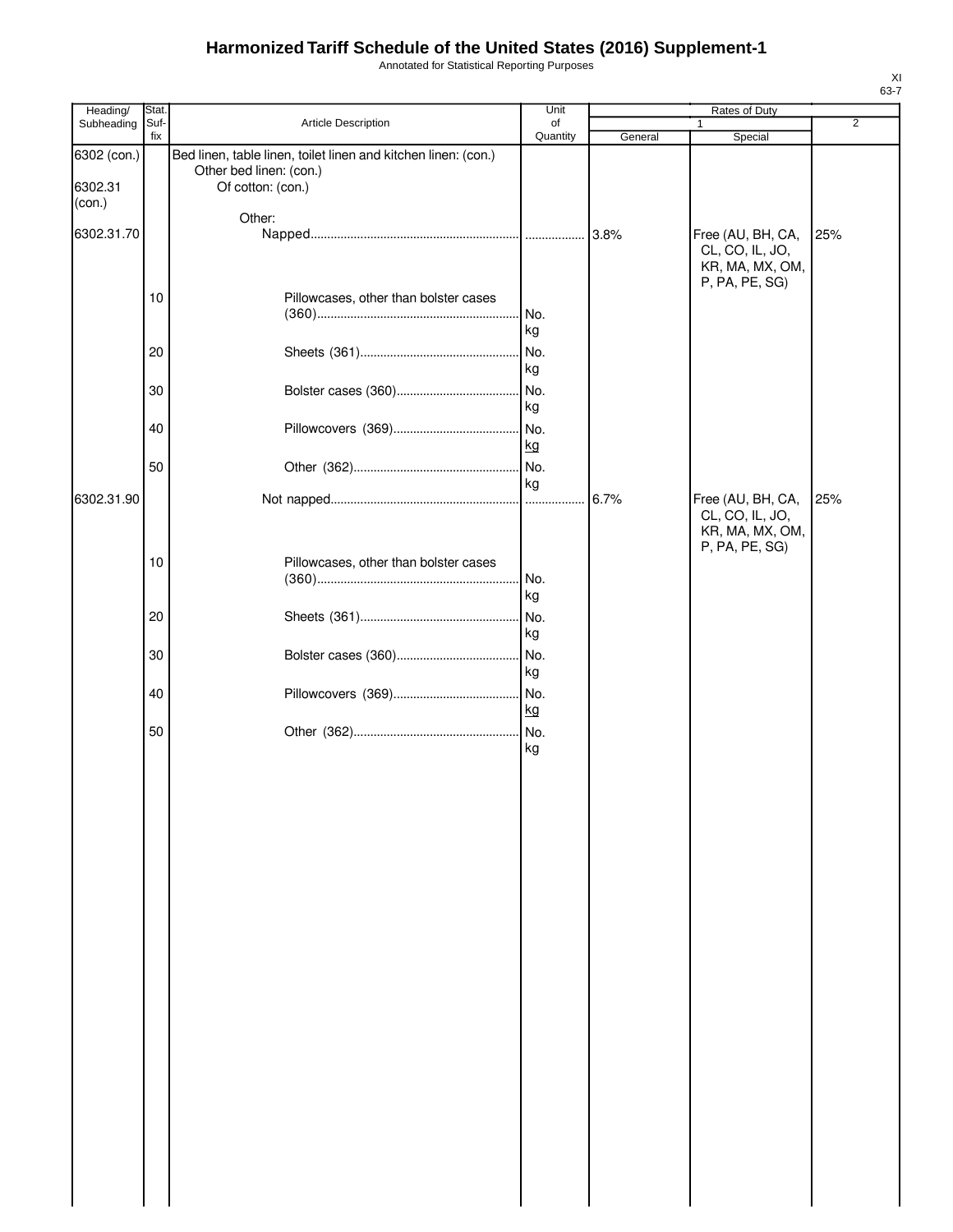Annotated for Statistical Reporting Purposes

| Heading/                         | Stat.       |                                                                                                                | Unit           |         | Rates of Duty                                                             |                |
|----------------------------------|-------------|----------------------------------------------------------------------------------------------------------------|----------------|---------|---------------------------------------------------------------------------|----------------|
| Subheading                       | Suf-<br>fix | Article Description                                                                                            | of<br>Quantity | General | $\mathbf{1}$<br>Special                                                   | $\overline{2}$ |
| 6302 (con.)<br>6302.31<br>(con.) |             | Bed linen, table linen, toilet linen and kitchen linen: (con.)<br>Other bed linen: (con.)<br>Of cotton: (con.) |                |         |                                                                           |                |
|                                  |             | Other:                                                                                                         |                |         |                                                                           |                |
| 6302.31.70                       |             |                                                                                                                |                |         | Free (AU, BH, CA,<br>CL, CO, IL, JO,<br>KR, MA, MX, OM,<br>P, PA, PE, SG) | 25%            |
|                                  | 10          | Pillowcases, other than bolster cases                                                                          | No.<br>kg      |         |                                                                           |                |
|                                  | 20          |                                                                                                                | No.<br>kg      |         |                                                                           |                |
|                                  | 30          |                                                                                                                | No.<br>kg      |         |                                                                           |                |
|                                  | 40          |                                                                                                                | No.<br>kg      |         |                                                                           |                |
| 6302.31.90                       | 50          |                                                                                                                | No.<br>kg      |         | Free (AU, BH, CA,                                                         | 25%            |
|                                  |             |                                                                                                                |                |         | CL, CO, IL, JO,<br>KR, MA, MX, OM,<br>P, PA, PE, SG)                      |                |
|                                  | 10          | Pillowcases, other than bolster cases                                                                          | No.<br>kg      |         |                                                                           |                |
|                                  | 20          |                                                                                                                | No.<br>kg      |         |                                                                           |                |
|                                  | 30          |                                                                                                                | No.<br>kg      |         |                                                                           |                |
|                                  | 40          |                                                                                                                | No.<br>kg      |         |                                                                           |                |
|                                  | 50          |                                                                                                                | kg             |         |                                                                           |                |
|                                  |             |                                                                                                                |                |         |                                                                           |                |
|                                  |             |                                                                                                                |                |         |                                                                           |                |
|                                  |             |                                                                                                                |                |         |                                                                           |                |
|                                  |             |                                                                                                                |                |         |                                                                           |                |
|                                  |             |                                                                                                                |                |         |                                                                           |                |
|                                  |             |                                                                                                                |                |         |                                                                           |                |
|                                  |             |                                                                                                                |                |         |                                                                           |                |
|                                  |             |                                                                                                                |                |         |                                                                           |                |
|                                  |             |                                                                                                                |                |         |                                                                           |                |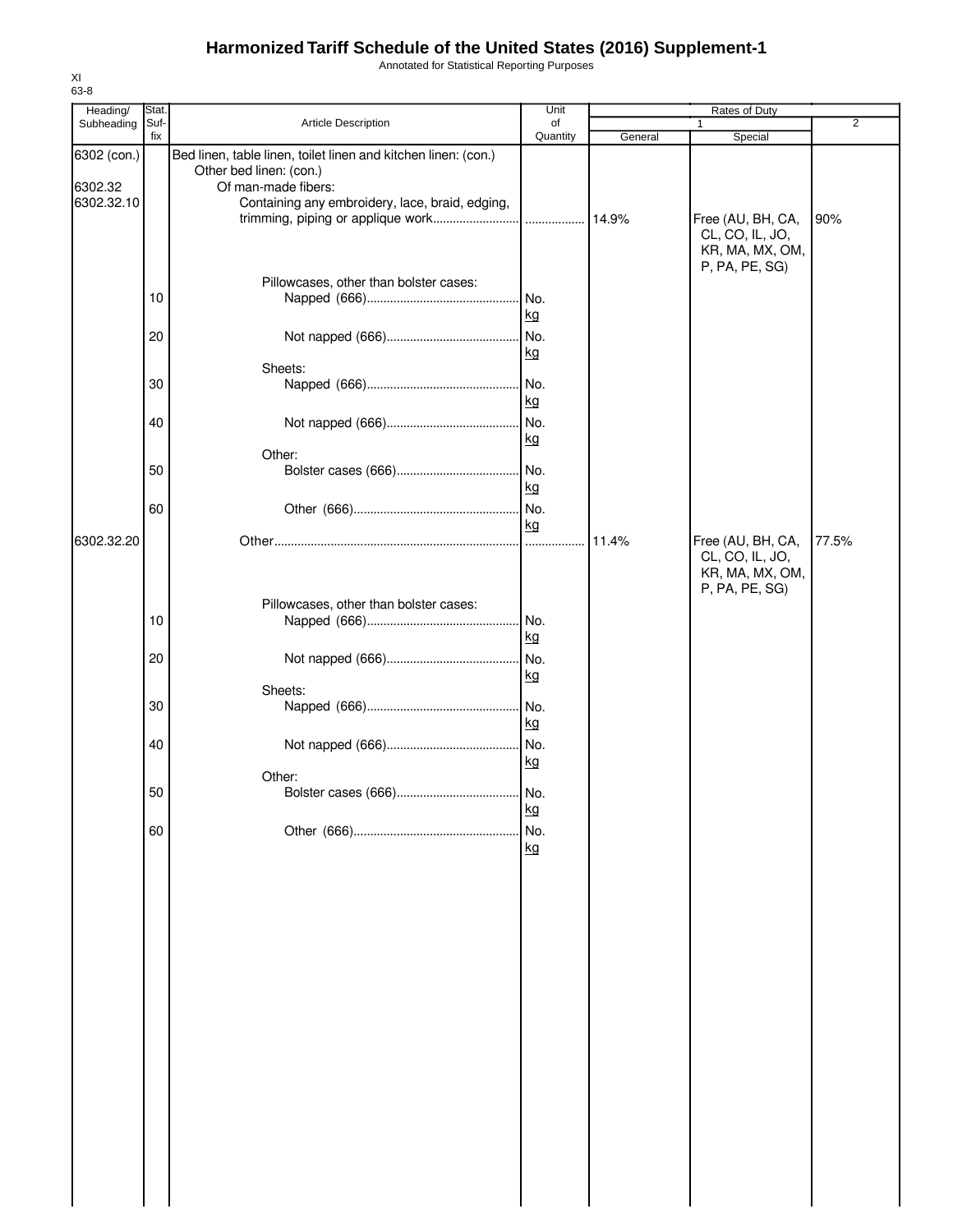Annotated for Statistical Reporting Purposes

| Heading/    | <b>Stat</b> |                                                                | Unit      |         | Rates of Duty                        |                |
|-------------|-------------|----------------------------------------------------------------|-----------|---------|--------------------------------------|----------------|
| Subheading  | Suf-        | Article Description                                            | of        |         |                                      | $\overline{2}$ |
| 6302 (con.) | fix         | Bed linen, table linen, toilet linen and kitchen linen: (con.) | Quantity  | General | Special                              |                |
| 6302.32     |             | Other bed linen: (con.)<br>Of man-made fibers:                 |           |         |                                      |                |
| 6302.32.10  |             | Containing any embroidery, lace, braid, edging,                |           |         |                                      |                |
|             |             |                                                                |           |         | Free (AU, BH, CA,<br>CL, CO, IL, JO, | 90%            |
|             |             |                                                                |           |         | KR, MA, MX, OM,                      |                |
|             |             | Pillowcases, other than bolster cases:                         |           |         | P, PA, PE, SG)                       |                |
|             | 10          |                                                                | No.       |         |                                      |                |
|             |             |                                                                | kg        |         |                                      |                |
|             | 20          |                                                                | No.       |         |                                      |                |
|             |             | Sheets:                                                        | kg        |         |                                      |                |
|             | 30          |                                                                | No.       |         |                                      |                |
|             |             |                                                                | kg        |         |                                      |                |
|             | 40          |                                                                | No.<br>kg |         |                                      |                |
|             |             | Other:                                                         |           |         |                                      |                |
|             | 50          |                                                                |           |         |                                      |                |
|             |             |                                                                | kg        |         |                                      |                |
|             | 60          |                                                                | kg        |         |                                      |                |
| 6302.32.20  |             |                                                                |           | 11.4%   | Free (AU, BH, CA,                    | 77.5%          |
|             |             |                                                                |           |         | CL, CO, IL, JO,<br>KR, MA, MX, OM,   |                |
|             |             |                                                                |           |         | P, PA, PE, SG)                       |                |
|             | 10          | Pillowcases, other than bolster cases:                         | No.       |         |                                      |                |
|             |             |                                                                | kg        |         |                                      |                |
|             | 20          |                                                                | No.       |         |                                      |                |
|             |             |                                                                | kg        |         |                                      |                |
|             | 30          | Sheets:                                                        | No.       |         |                                      |                |
|             |             |                                                                | kg        |         |                                      |                |
|             | 40          |                                                                | . No.     |         |                                      |                |
|             |             | Other:                                                         | kg        |         |                                      |                |
|             | 50          | Bolster cases (666)                                            | No.       |         |                                      |                |
|             |             |                                                                | kg        |         |                                      |                |
|             | 60          |                                                                | No.<br>kg |         |                                      |                |
|             |             |                                                                |           |         |                                      |                |
|             |             |                                                                |           |         |                                      |                |
|             |             |                                                                |           |         |                                      |                |
|             |             |                                                                |           |         |                                      |                |
|             |             |                                                                |           |         |                                      |                |
|             |             |                                                                |           |         |                                      |                |
|             |             |                                                                |           |         |                                      |                |
|             |             |                                                                |           |         |                                      |                |
|             |             |                                                                |           |         |                                      |                |
|             |             |                                                                |           |         |                                      |                |
|             |             |                                                                |           |         |                                      |                |
|             |             |                                                                |           |         |                                      |                |
|             |             |                                                                |           |         |                                      |                |
|             |             |                                                                |           |         |                                      |                |
|             |             |                                                                |           |         |                                      |                |
|             |             |                                                                |           |         |                                      |                |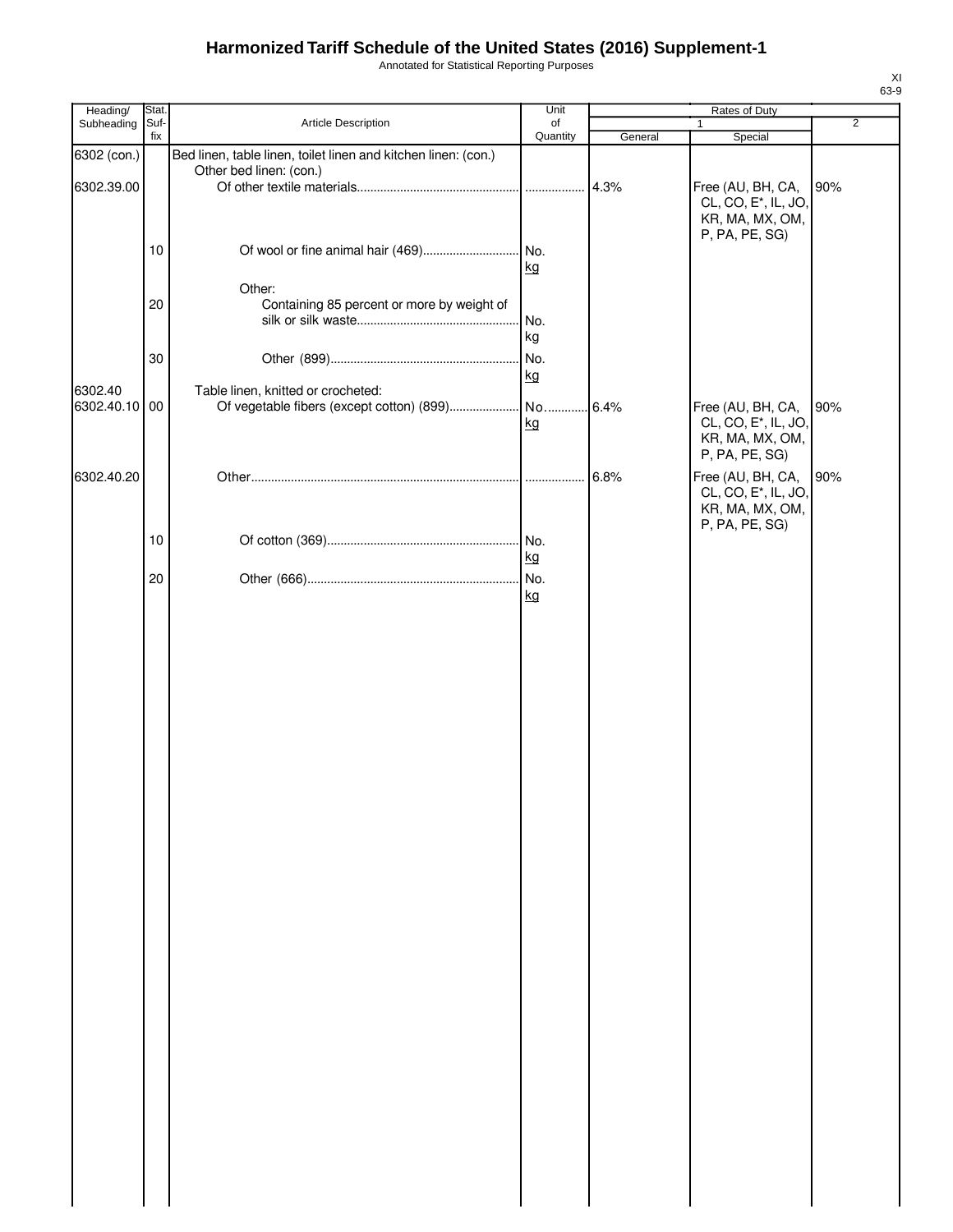Annotated for Statistical Reporting Purposes

| Heading/                  | Stat. |                                                                                           | Unit      |                 | Rates of Duty                                                                              |                |
|---------------------------|-------|-------------------------------------------------------------------------------------------|-----------|-----------------|--------------------------------------------------------------------------------------------|----------------|
| Subheading                | Suf-  | Article Description                                                                       | of        |                 | $\mathbf{1}$                                                                               | $\overline{2}$ |
| 6302 (con.)<br>6302.39.00 | fix   | Bed linen, table linen, toilet linen and kitchen linen: (con.)<br>Other bed linen: (con.) | Quantity  | General<br>4.3% | Special<br>Free (AU, BH, CA,<br>CL, CO, E <sup>*</sup> , IL, JO,                           | 90%            |
|                           | 10    |                                                                                           | kg        |                 | KR, MA, MX, OM,<br>P, PA, PE, SG)                                                          |                |
|                           | 20    | Other:<br>Containing 85 percent or more by weight of                                      | No.<br>kg |                 |                                                                                            |                |
|                           | 30    |                                                                                           | No.<br>kg |                 |                                                                                            |                |
| 6302.40<br>6302.40.10     | 00    | Table linen, knitted or crocheted:                                                        | kg        | 6.4%            | Free (AU, BH, CA,<br>CL, CO, E <sup>*</sup> , IL, JO,<br>KR, MA, MX, OM,<br>P, PA, PE, SG) | 90%            |
| 6302.40.20                |       |                                                                                           |           | 6.8%            | Free (AU, BH, CA,<br>CL, CO, E <sup>*</sup> , IL, JO,<br>KR, MA, MX, OM,<br>P, PA, PE, SG) | 90%            |
|                           | 10    |                                                                                           | kg        |                 |                                                                                            |                |
|                           | 20    |                                                                                           | No.<br>kg |                 |                                                                                            |                |
|                           |       |                                                                                           |           |                 |                                                                                            |                |
|                           |       |                                                                                           |           |                 |                                                                                            |                |
|                           |       |                                                                                           |           |                 |                                                                                            |                |
|                           |       |                                                                                           |           |                 |                                                                                            |                |
|                           |       |                                                                                           |           |                 |                                                                                            |                |
|                           |       |                                                                                           |           |                 |                                                                                            |                |
|                           |       |                                                                                           |           |                 |                                                                                            |                |
|                           |       |                                                                                           |           |                 |                                                                                            |                |
|                           |       |                                                                                           |           |                 |                                                                                            |                |
|                           |       |                                                                                           |           |                 |                                                                                            |                |
|                           |       |                                                                                           |           |                 |                                                                                            |                |
|                           |       |                                                                                           |           |                 |                                                                                            |                |
|                           |       |                                                                                           |           |                 |                                                                                            |                |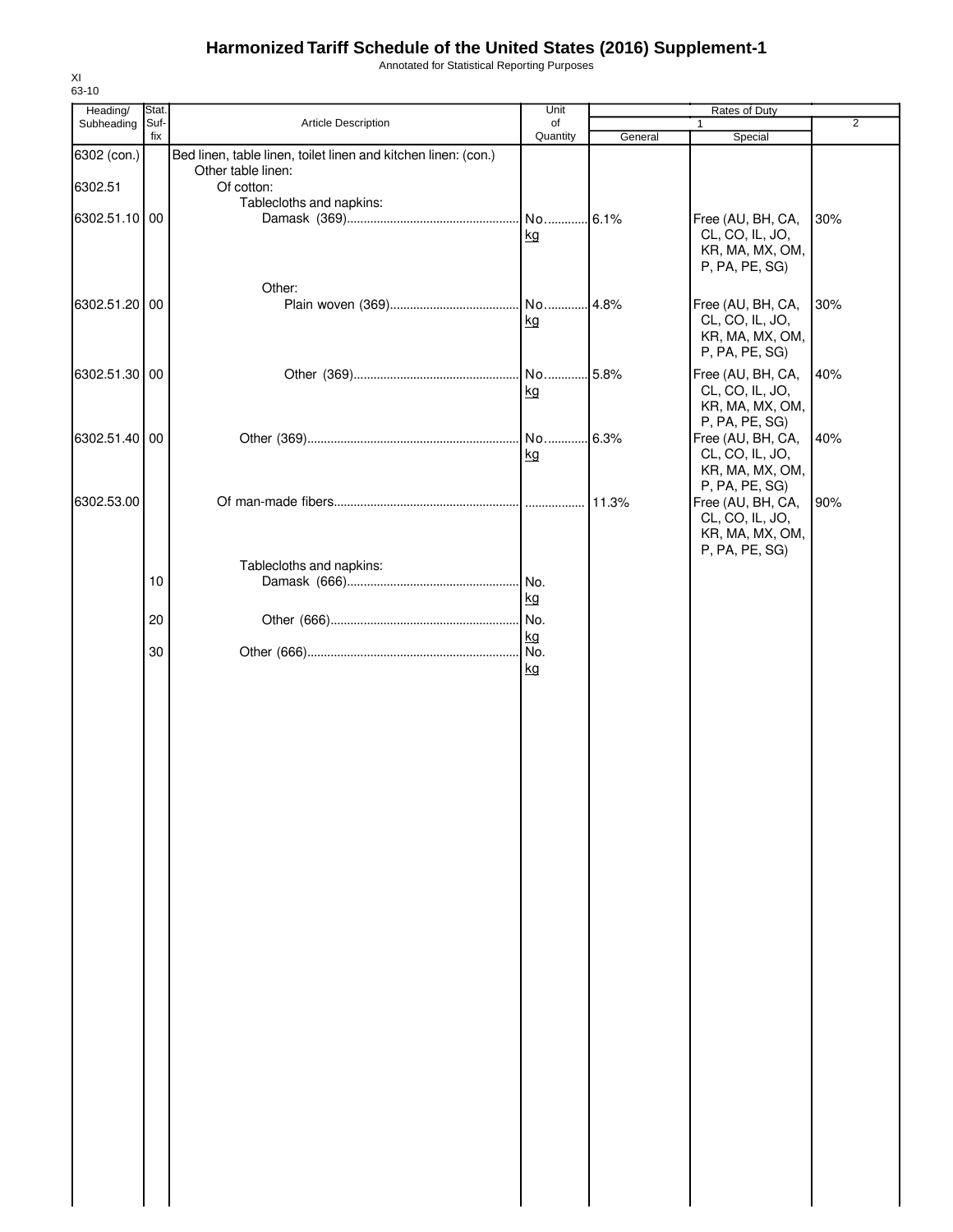Annotated for Statistical Reporting Purposes

| Heading/      | Stat. |                                                                                      | Unit      |         | Rates of Duty                       |                |
|---------------|-------|--------------------------------------------------------------------------------------|-----------|---------|-------------------------------------|----------------|
| Subheading    | Suf-  | Article Description                                                                  | of        |         |                                     | $\overline{2}$ |
|               | fix   |                                                                                      | Quantity  | General | Special                             |                |
| 6302 (con.)   |       | Bed linen, table linen, toilet linen and kitchen linen: (con.)<br>Other table linen: |           |         |                                     |                |
| 6302.51       |       | Of cotton:                                                                           |           |         |                                     |                |
|               |       | Tablecloths and napkins:                                                             |           |         |                                     |                |
| 6302.51.10 00 |       |                                                                                      | No 6.1%   |         | Free (AU, BH, CA,                   | 30%            |
|               |       |                                                                                      | kg        |         | CL, CO, IL, JO,                     |                |
|               |       |                                                                                      |           |         | KR, MA, MX, OM,                     |                |
|               |       |                                                                                      |           |         | P, PA, PE, SG)                      |                |
|               |       | Other:                                                                               |           |         |                                     |                |
| 6302.51.20 00 |       |                                                                                      | No        | .4.8%   | Free (AU, BH, CA,                   | 30%            |
|               |       |                                                                                      | kg        |         | CL, CO, IL, JO,                     |                |
|               |       |                                                                                      |           |         | KR, MA, MX, OM,                     |                |
|               |       |                                                                                      |           |         | P, PA, PE, SG)                      |                |
| 6302.51.30 00 |       |                                                                                      | No 5.8%   |         | Free (AU, BH, CA,                   | 40%            |
|               |       |                                                                                      | kg        |         | CL, CO, IL, JO,                     |                |
|               |       |                                                                                      |           |         | KR, MA, MX, OM,                     |                |
| 6302.51.40 00 |       |                                                                                      |           |         | P, PA, PE, SG)<br>Free (AU, BH, CA, | 40%            |
|               |       |                                                                                      | kg        |         | CL, CO, IL, JO,                     |                |
|               |       |                                                                                      |           |         | KR, MA, MX, OM,                     |                |
|               |       |                                                                                      |           |         | P, PA, PE, SG)                      |                |
| 6302.53.00    |       |                                                                                      |           | 11.3%   | Free (AU, BH, CA,                   | 90%            |
|               |       |                                                                                      |           |         | CL, CO, IL, JO,                     |                |
|               |       |                                                                                      |           |         | KR, MA, MX, OM,                     |                |
|               |       |                                                                                      |           |         | P, PA, PE, SG)                      |                |
|               | 10    | Tablecloths and napkins:                                                             | No.       |         |                                     |                |
|               |       |                                                                                      | kg        |         |                                     |                |
|               |       |                                                                                      |           |         |                                     |                |
|               | 20    |                                                                                      | No.<br>kg |         |                                     |                |
|               | 30    |                                                                                      | No.       |         |                                     |                |
|               |       |                                                                                      | kg        |         |                                     |                |
|               |       |                                                                                      |           |         |                                     |                |
|               |       |                                                                                      |           |         |                                     |                |
|               |       |                                                                                      |           |         |                                     |                |
|               |       |                                                                                      |           |         |                                     |                |
|               |       |                                                                                      |           |         |                                     |                |
|               |       |                                                                                      |           |         |                                     |                |
|               |       |                                                                                      |           |         |                                     |                |
|               |       |                                                                                      |           |         |                                     |                |
|               |       |                                                                                      |           |         |                                     |                |
|               |       |                                                                                      |           |         |                                     |                |
|               |       |                                                                                      |           |         |                                     |                |
|               |       |                                                                                      |           |         |                                     |                |
|               |       |                                                                                      |           |         |                                     |                |
|               |       |                                                                                      |           |         |                                     |                |
|               |       |                                                                                      |           |         |                                     |                |
|               |       |                                                                                      |           |         |                                     |                |
|               |       |                                                                                      |           |         |                                     |                |
|               |       |                                                                                      |           |         |                                     |                |
|               |       |                                                                                      |           |         |                                     |                |
|               |       |                                                                                      |           |         |                                     |                |
|               |       |                                                                                      |           |         |                                     |                |
|               |       |                                                                                      |           |         |                                     |                |
|               |       |                                                                                      |           |         |                                     |                |
|               |       |                                                                                      |           |         |                                     |                |
|               |       |                                                                                      |           |         |                                     |                |
|               |       |                                                                                      |           |         |                                     |                |
|               |       |                                                                                      |           |         |                                     |                |
|               |       |                                                                                      |           |         |                                     |                |
|               |       |                                                                                      |           |         |                                     |                |
|               |       |                                                                                      |           |         |                                     |                |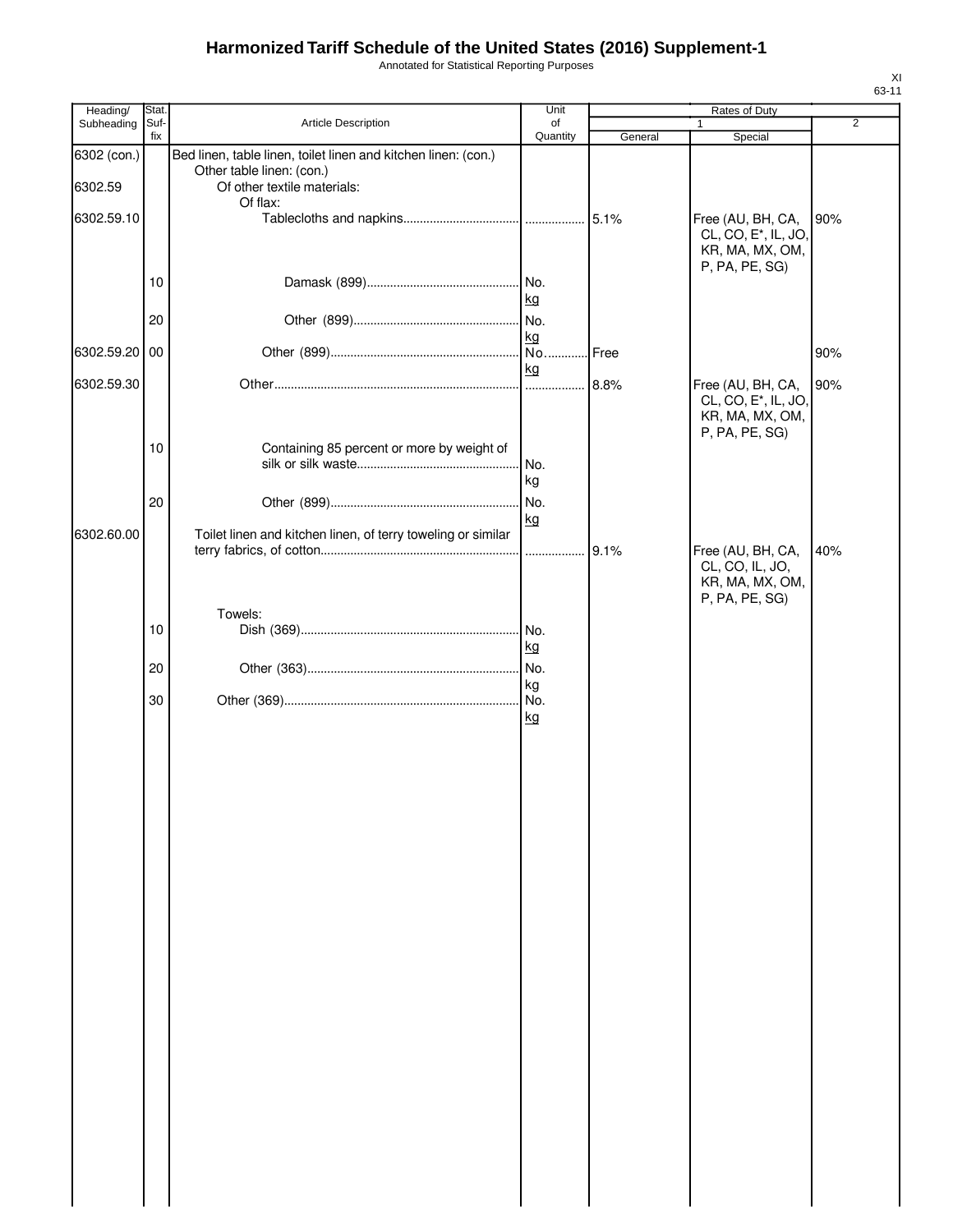Annotated for Statistical Reporting Purposes

| Heading/               | Stat.       |                                                                                                                                        | Unit           |         | Rates of Duty                                                                              |                |
|------------------------|-------------|----------------------------------------------------------------------------------------------------------------------------------------|----------------|---------|--------------------------------------------------------------------------------------------|----------------|
| Subheading             | Suf-<br>fix | Article Description                                                                                                                    | of<br>Quantity | General | 1<br>Special                                                                               | $\overline{2}$ |
| 6302 (con.)<br>6302.59 |             | Bed linen, table linen, toilet linen and kitchen linen: (con.)<br>Other table linen: (con.)<br>Of other textile materials:<br>Of flax: |                |         |                                                                                            |                |
| 6302.59.10             |             |                                                                                                                                        |                |         | Free (AU, BH, CA,<br>CL, CO, E <sup>*</sup> , IL, JO,<br>KR, MA, MX, OM,<br>P, PA, PE, SG) | 90%            |
|                        | 10          |                                                                                                                                        | kg             |         |                                                                                            |                |
|                        | 20          |                                                                                                                                        | kg             |         |                                                                                            |                |
| 6302.59.20 00          |             |                                                                                                                                        | kg             | Free!   |                                                                                            | 90%            |
| 6302.59.30             |             |                                                                                                                                        |                |         | Free (AU, BH, CA,<br>CL, CO, E <sup>*</sup> , IL, JO,<br>KR, MA, MX, OM,<br>P, PA, PE, SG) | 90%            |
|                        | 10          | Containing 85 percent or more by weight of                                                                                             | No.<br>kg      |         |                                                                                            |                |
|                        | 20          |                                                                                                                                        | kg             |         |                                                                                            |                |
| 6302.60.00             |             | Toilet linen and kitchen linen, of terry toweling or similar                                                                           |                |         | Free (AU, BH, CA,<br>CL, CO, IL, JO,<br>KR, MA, MX, OM,<br>P, PA, PE, SG)                  | 40%            |
|                        | 10          | Towels:                                                                                                                                |                |         |                                                                                            |                |
|                        |             |                                                                                                                                        | kg             |         |                                                                                            |                |
|                        | 20          |                                                                                                                                        | kg             |         |                                                                                            |                |
|                        | 30          |                                                                                                                                        | kg             |         |                                                                                            |                |
|                        |             |                                                                                                                                        |                |         |                                                                                            |                |
|                        |             |                                                                                                                                        |                |         |                                                                                            |                |
|                        |             |                                                                                                                                        |                |         |                                                                                            |                |
|                        |             |                                                                                                                                        |                |         |                                                                                            |                |
|                        |             |                                                                                                                                        |                |         |                                                                                            |                |
|                        |             |                                                                                                                                        |                |         |                                                                                            |                |
|                        |             |                                                                                                                                        |                |         |                                                                                            |                |
|                        |             |                                                                                                                                        |                |         |                                                                                            |                |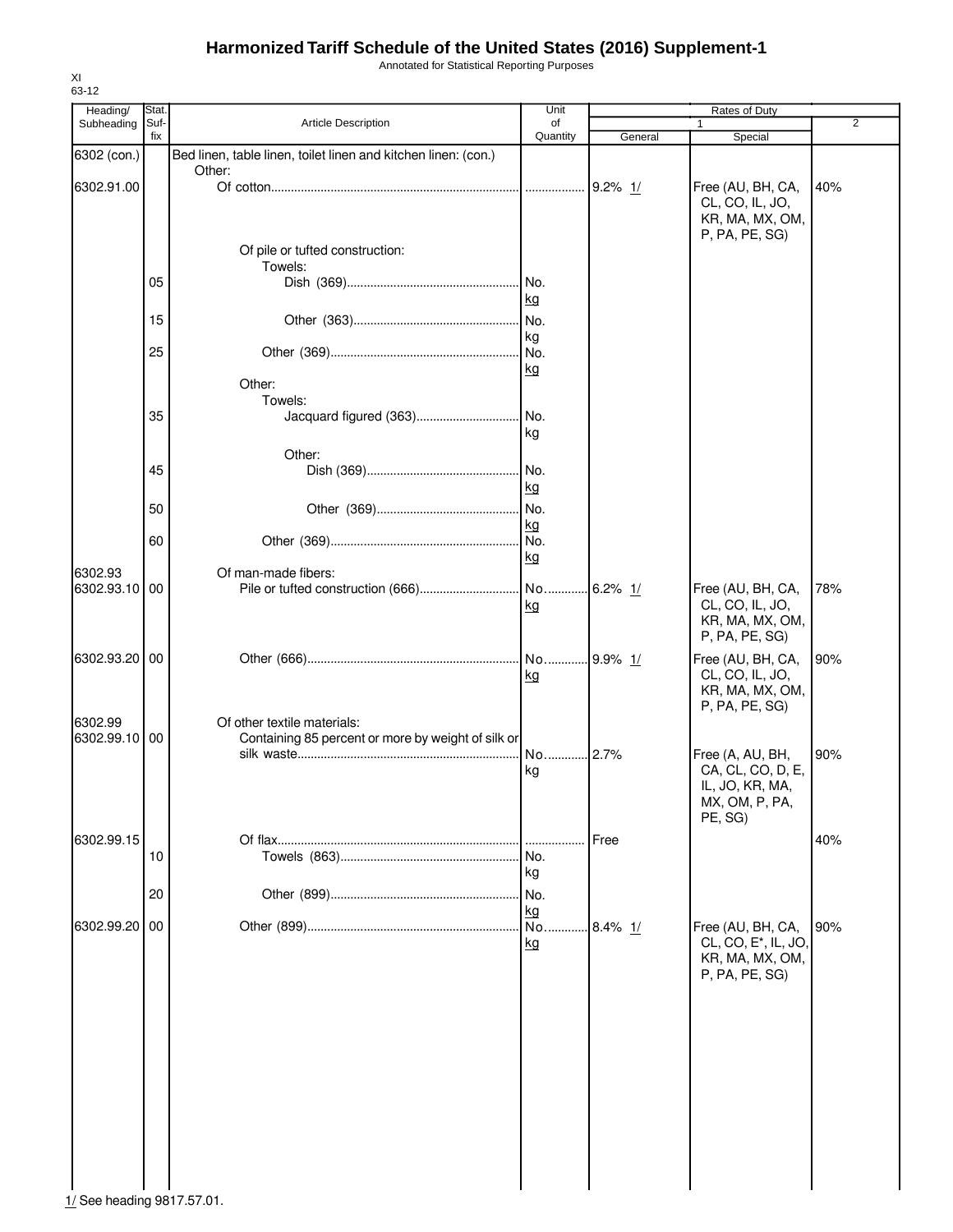Annotated for Statistical Reporting Purposes

| Heading/      | Stat. |                                                                | Unit       |             | Rates of Duty                    |                |
|---------------|-------|----------------------------------------------------------------|------------|-------------|----------------------------------|----------------|
| Subheading    | Suf-  | Article Description                                            | of         |             |                                  | $\overline{2}$ |
|               | fix   |                                                                | Quantity   | General     | Special                          |                |
| 6302 (con.)   |       | Bed linen, table linen, toilet linen and kitchen linen: (con.) |            |             |                                  |                |
|               |       | Other:                                                         |            |             |                                  |                |
| 6302.91.00    |       |                                                                |            |             | Free (AU, BH, CA,                | 40%            |
|               |       |                                                                |            |             | CL, CO, IL, JO,                  |                |
|               |       |                                                                |            |             | KR, MA, MX, OM,                  |                |
|               |       |                                                                |            |             | P, PA, PE, SG)                   |                |
|               |       | Of pile or tufted construction:                                |            |             |                                  |                |
|               |       | Towels:                                                        |            |             |                                  |                |
|               | 05    |                                                                | No.        |             |                                  |                |
|               |       |                                                                | kg         |             |                                  |                |
|               | 15    |                                                                | No.        |             |                                  |                |
|               |       |                                                                |            |             |                                  |                |
|               | 25    |                                                                | kg         |             |                                  |                |
|               |       |                                                                | No.        |             |                                  |                |
|               |       | Other:                                                         | kg         |             |                                  |                |
|               |       | Towels:                                                        |            |             |                                  |                |
|               |       |                                                                |            |             |                                  |                |
|               | 35    |                                                                | No.        |             |                                  |                |
|               |       |                                                                | kg         |             |                                  |                |
|               |       | Other:                                                         |            |             |                                  |                |
|               | 45    |                                                                | No.        |             |                                  |                |
|               |       |                                                                | kg         |             |                                  |                |
|               | 50    |                                                                | No.        |             |                                  |                |
|               |       |                                                                | kg         |             |                                  |                |
|               | 60    |                                                                | I No.      |             |                                  |                |
|               |       |                                                                | kg         |             |                                  |                |
| 6302.93       |       | Of man-made fibers:                                            |            |             |                                  |                |
| 6302.93.10 00 |       |                                                                | No 6.2% 1/ |             | Free (AU, BH, CA,                | 78%            |
|               |       |                                                                | <u>kg</u>  |             | CL, CO, IL, JO,                  |                |
|               |       |                                                                |            |             | KR, MA, MX, OM,                  |                |
|               |       |                                                                |            |             | P, PA, PE, SG)                   |                |
|               |       |                                                                |            |             |                                  |                |
| 6302.93.20 00 |       |                                                                | No         | 9.9% 1/     | Free (AU, BH, CA,                | 90%            |
|               |       |                                                                | <u>kg</u>  |             | CL, CO, IL, JO,                  |                |
|               |       |                                                                |            |             | KR, MA, MX, OM,                  |                |
|               |       |                                                                |            |             | P, PA, PE, SG)                   |                |
| 6302.99       |       | Of other textile materials:                                    |            |             |                                  |                |
| 6302.99.10 00 |       | Containing 85 percent or more by weight of silk or             |            |             |                                  |                |
|               |       |                                                                | No 2.7%    |             | Free (A, AU, BH,                 | 90%            |
|               |       |                                                                | kg         |             | CA, CL, CO, D, E,                |                |
|               |       |                                                                |            |             | IL, JO, KR, MA,                  |                |
|               |       |                                                                |            |             | MX, OM, P, PA,                   |                |
|               |       |                                                                |            |             | PE, SG)                          |                |
| 6302.99.15    |       |                                                                |            | Free        |                                  | 40%            |
|               | 10    |                                                                | No.        |             |                                  |                |
|               |       |                                                                | kg         |             |                                  |                |
|               | 20    |                                                                | No.        |             |                                  |                |
|               |       |                                                                | kg         |             |                                  |                |
| 6302.99.20    | 00    |                                                                | No.        | $.8.4\%$ 1/ | Free (AU, BH, CA,                | 90%            |
|               |       |                                                                | kg         |             | CL, CO, E <sup>*</sup> , IL, JO, |                |
|               |       |                                                                |            |             | KR, MA, MX, OM,                  |                |
|               |       |                                                                |            |             | P, PA, PE, SG)                   |                |
|               |       |                                                                |            |             |                                  |                |
|               |       |                                                                |            |             |                                  |                |
|               |       |                                                                |            |             |                                  |                |
|               |       |                                                                |            |             |                                  |                |
|               |       |                                                                |            |             |                                  |                |
|               |       |                                                                |            |             |                                  |                |
|               |       |                                                                |            |             |                                  |                |
|               |       |                                                                |            |             |                                  |                |
|               |       |                                                                |            |             |                                  |                |
|               |       |                                                                |            |             |                                  |                |
|               |       |                                                                |            |             |                                  |                |
|               |       |                                                                |            |             |                                  |                |
|               |       |                                                                |            |             |                                  |                |
|               |       |                                                                |            |             |                                  |                |

1/ See heading 9817.57.01.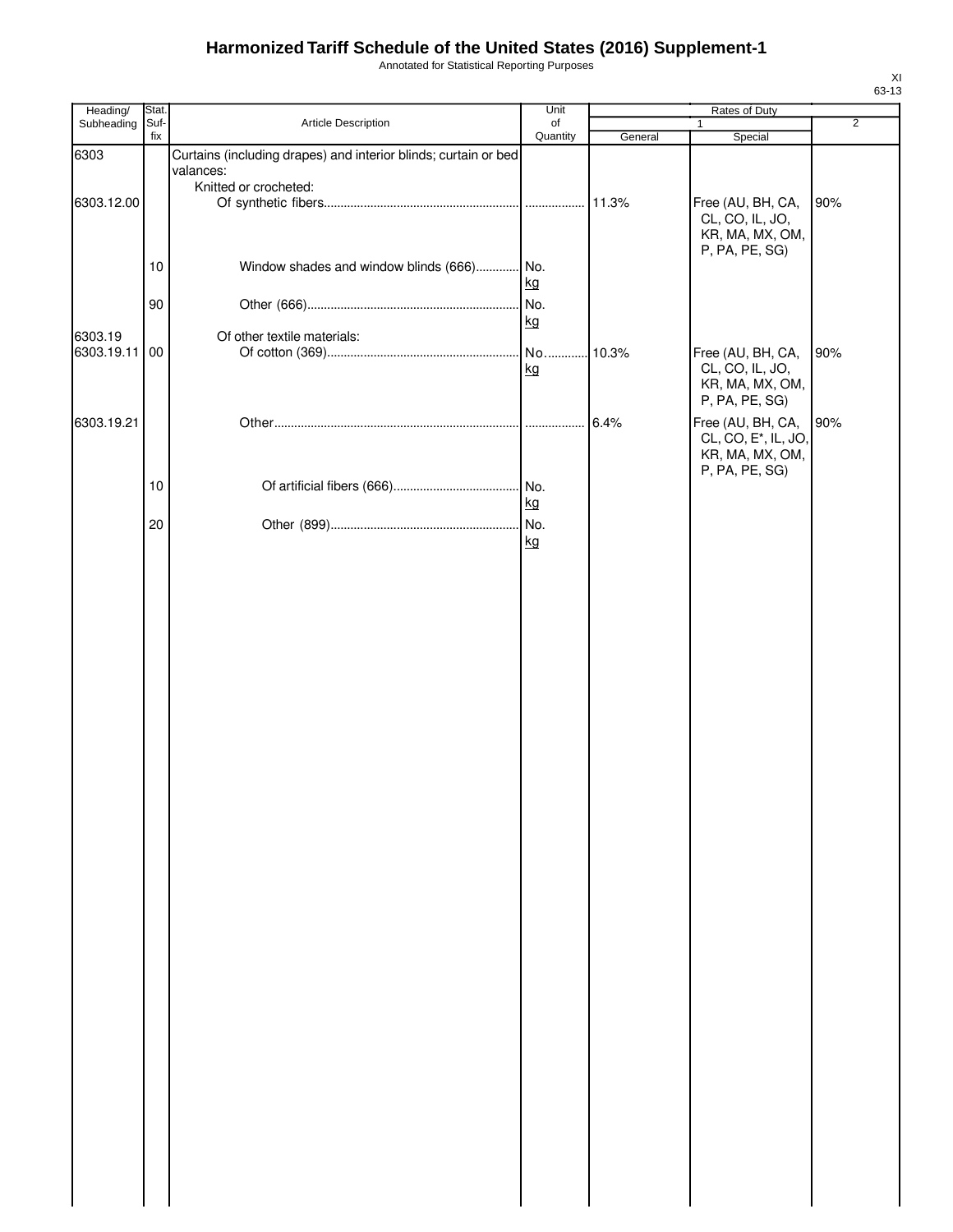Annotated for Statistical Reporting Purposes

| Heading/              | Stat.       |                                                                              | Unit           |         | Rates of Duty                                                                              |                |
|-----------------------|-------------|------------------------------------------------------------------------------|----------------|---------|--------------------------------------------------------------------------------------------|----------------|
| Subheading            | Suf-<br>fix | Article Description                                                          | of<br>Quantity | General | 1<br>Special                                                                               | $\overline{2}$ |
| 6303                  |             | Curtains (including drapes) and interior blinds; curtain or bed<br>valances: |                |         |                                                                                            |                |
|                       |             | Knitted or crocheted:                                                        |                |         |                                                                                            |                |
| 6303.12.00            |             |                                                                              |                | 11.3%   | Free (AU, BH, CA,<br>CL, CO, IL, JO,<br>KR, MA, MX, OM,                                    | 90%            |
|                       | 10          | Window shades and window blinds (666) No.                                    | kg             |         | P, PA, PE, SG)                                                                             |                |
|                       | 90          |                                                                              | No.<br>kg      |         |                                                                                            |                |
| 6303.19<br>6303.19.11 | 00          | Of other textile materials:                                                  | kg             | 10.3%   | Free (AU, BH, CA,<br>CL, CO, IL, JO,                                                       | 90%            |
|                       |             |                                                                              |                |         | KR, MA, MX, OM,<br>P, PA, PE, SG)                                                          |                |
| 6303.19.21            |             |                                                                              |                | 6.4%    | Free (AU, BH, CA,<br>CL, CO, E <sup>*</sup> , IL, JO,<br>KR, MA, MX, OM,<br>P, PA, PE, SG) | 90%            |
|                       | 10          |                                                                              | kg             |         |                                                                                            |                |
|                       | 20          |                                                                              | kg             |         |                                                                                            |                |
|                       |             |                                                                              |                |         |                                                                                            |                |
|                       |             |                                                                              |                |         |                                                                                            |                |
|                       |             |                                                                              |                |         |                                                                                            |                |
|                       |             |                                                                              |                |         |                                                                                            |                |
|                       |             |                                                                              |                |         |                                                                                            |                |
|                       |             |                                                                              |                |         |                                                                                            |                |
|                       |             |                                                                              |                |         |                                                                                            |                |
|                       |             |                                                                              |                |         |                                                                                            |                |
|                       |             |                                                                              |                |         |                                                                                            |                |
|                       |             |                                                                              |                |         |                                                                                            |                |
|                       |             |                                                                              |                |         |                                                                                            |                |
|                       |             |                                                                              |                |         |                                                                                            |                |
|                       |             |                                                                              |                |         |                                                                                            |                |
|                       |             |                                                                              |                |         |                                                                                            |                |
|                       |             |                                                                              |                |         |                                                                                            |                |
|                       |             |                                                                              |                |         |                                                                                            |                |
|                       |             |                                                                              |                |         |                                                                                            |                |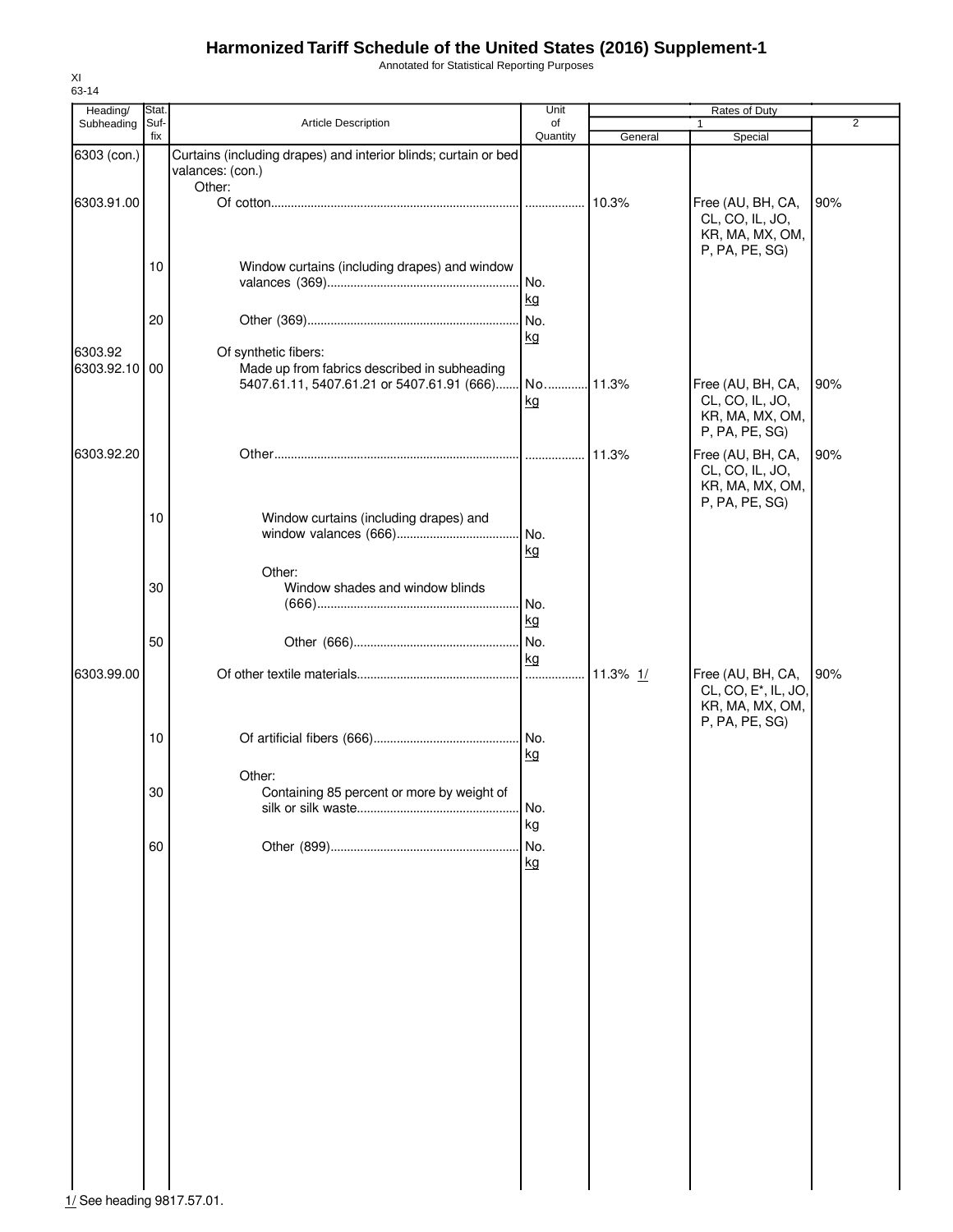Annotated for Statistical Reporting Purposes

| Heading/                   | Stat.       |                                                                                                                    | Unit            |         | <b>Rates of Duty</b>                                                      |                |
|----------------------------|-------------|--------------------------------------------------------------------------------------------------------------------|-----------------|---------|---------------------------------------------------------------------------|----------------|
| Subheading                 | Suf-<br>fix | Article Description                                                                                                | of<br>Quantity  | General | 1<br>Special                                                              | $\overline{2}$ |
| 6303 (con.)                |             | Curtains (including drapes) and interior blinds; curtain or bed<br>valances: (con.)                                |                 |         |                                                                           |                |
| 6303.91.00                 |             | Other:                                                                                                             |                 | 10.3%   | Free (AU, BH, CA,<br>CL, CO, IL, JO,<br>KR, MA, MX, OM,                   | 90%            |
|                            | 10          | Window curtains (including drapes) and window                                                                      | No.             |         | P, PA, PE, SG)                                                            |                |
|                            | 20          |                                                                                                                    | kg<br>No.<br>kg |         |                                                                           |                |
| 6303.92<br>6303.92.10 00   |             | Of synthetic fibers:<br>Made up from fabrics described in subheading<br>5407.61.11, 5407.61.21 or 5407.61.91 (666) | No 11.3%<br>kg  |         | Free (AU, BH, CA,<br>CL, CO, IL, JO,<br>KR, MA, MX, OM,<br>P, PA, PE, SG) | 90%            |
| 6303.92.20                 |             |                                                                                                                    |                 | 11.3%   | Free (AU, BH, CA,<br>CL, CO, IL, JO,<br>KR, MA, MX, OM,<br>P, PA, PE, SG) | 90%            |
|                            | 10          | Window curtains (including drapes) and                                                                             | No.<br>kg       |         |                                                                           |                |
|                            | 30          | Other:<br>Window shades and window blinds                                                                          | No.<br>kg       |         |                                                                           |                |
|                            | 50          |                                                                                                                    | No.<br>kg       |         |                                                                           |                |
| 6303.99.00                 |             |                                                                                                                    |                 |         | Free (AU, BH, CA,<br>CL, CO, E <sup>*</sup> , IL, JO,<br>KR, MA, MX, OM,  | 90%            |
|                            | 10          |                                                                                                                    | kg              |         | P, PA, PE, SG)                                                            |                |
|                            | 30          | Other:<br>Containing 85 percent or more by weight of                                                               | No.<br>kg       |         |                                                                           |                |
|                            | 60          |                                                                                                                    | No.<br>kg       |         |                                                                           |                |
|                            |             |                                                                                                                    |                 |         |                                                                           |                |
|                            |             |                                                                                                                    |                 |         |                                                                           |                |
|                            |             |                                                                                                                    |                 |         |                                                                           |                |
|                            |             |                                                                                                                    |                 |         |                                                                           |                |
|                            |             |                                                                                                                    |                 |         |                                                                           |                |
| 1/ See heading 9817.57.01. |             |                                                                                                                    |                 |         |                                                                           |                |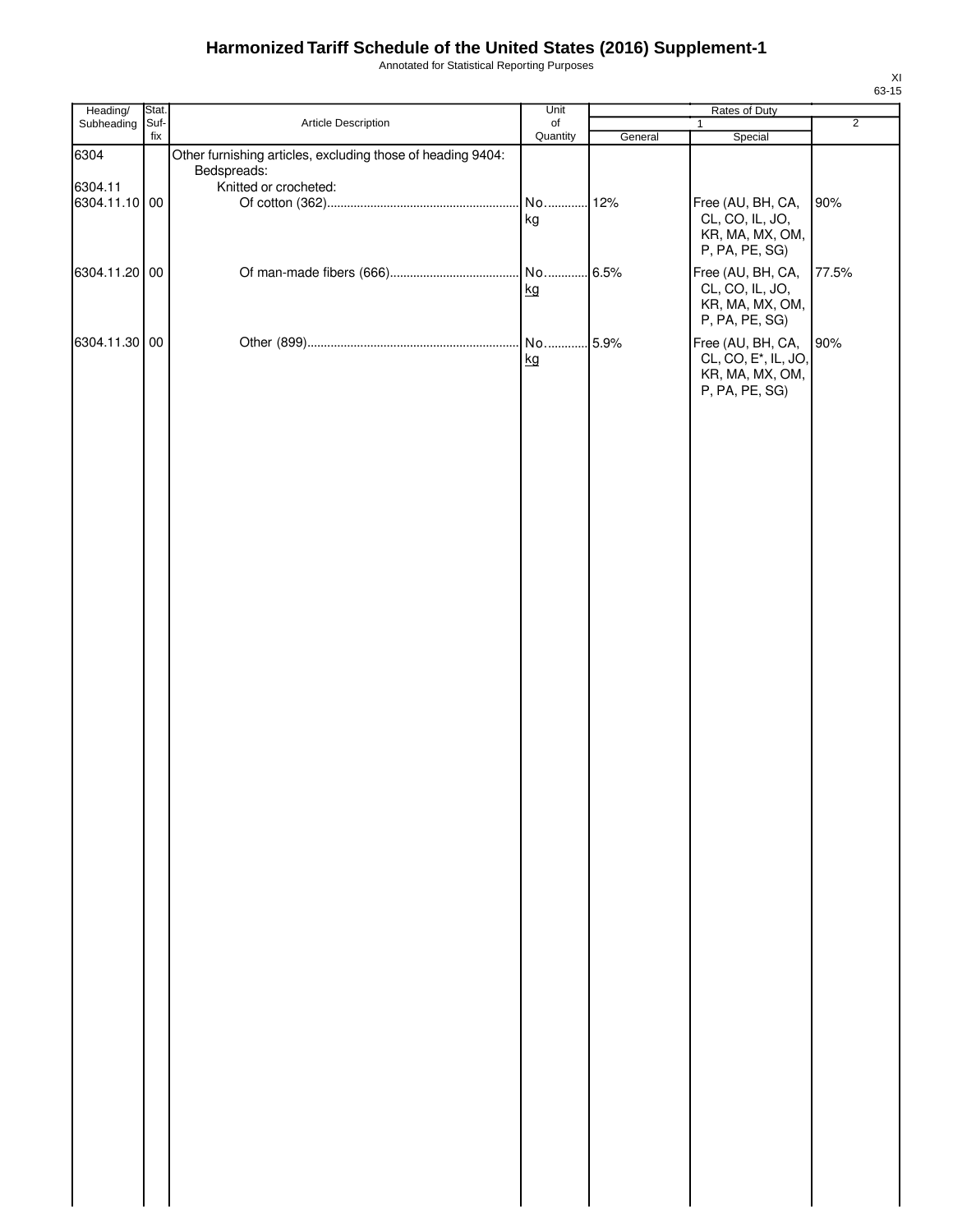Annotated for Statistical Reporting Purposes

| Heading/      | Stat.       |                                                             | Unit           | Rates of Duty |                                      |                |  |
|---------------|-------------|-------------------------------------------------------------|----------------|---------------|--------------------------------------|----------------|--|
| Subheading    | Suf-<br>fix | Article Description                                         | of<br>Quantity |               | $\mathbf{1}$                         | $\overline{2}$ |  |
| 6304          |             | Other furnishing articles, excluding those of heading 9404: |                | General       | Special                              |                |  |
|               |             | Bedspreads:                                                 |                |               |                                      |                |  |
| 6304.11       |             | Knitted or crocheted:                                       |                |               |                                      |                |  |
| 6304.11.10 00 |             |                                                             | No             | . 12%         | Free (AU, BH, CA,                    | 90%            |  |
|               |             |                                                             | kg             |               | CL, CO, IL, JO,                      |                |  |
|               |             |                                                             |                |               | KR, MA, MX, OM,<br>P, PA, PE, SG)    |                |  |
|               |             |                                                             |                |               |                                      |                |  |
| 6304.11.20 00 |             |                                                             | kg             | .6.5%         | Free (AU, BH, CA,<br>CL, CO, IL, JO, | 77.5%          |  |
|               |             |                                                             |                |               | KR, MA, MX, OM,                      |                |  |
|               |             |                                                             |                |               | P, PA, PE, SG)                       |                |  |
| 6304.11.30 00 |             |                                                             | No             | 5.9%          | Free (AU, BH, CA,                    | 90%            |  |
|               |             |                                                             | kg             |               | CL, CO, E <sup>*</sup> , IL, JO,     |                |  |
|               |             |                                                             |                |               | KR, MA, MX, OM,                      |                |  |
|               |             |                                                             |                |               | P, PA, PE, SG)                       |                |  |
|               |             |                                                             |                |               |                                      |                |  |
|               |             |                                                             |                |               |                                      |                |  |
|               |             |                                                             |                |               |                                      |                |  |
|               |             |                                                             |                |               |                                      |                |  |
|               |             |                                                             |                |               |                                      |                |  |
|               |             |                                                             |                |               |                                      |                |  |
|               |             |                                                             |                |               |                                      |                |  |
|               |             |                                                             |                |               |                                      |                |  |
|               |             |                                                             |                |               |                                      |                |  |
|               |             |                                                             |                |               |                                      |                |  |
|               |             |                                                             |                |               |                                      |                |  |
|               |             |                                                             |                |               |                                      |                |  |
|               |             |                                                             |                |               |                                      |                |  |
|               |             |                                                             |                |               |                                      |                |  |
|               |             |                                                             |                |               |                                      |                |  |
|               |             |                                                             |                |               |                                      |                |  |
|               |             |                                                             |                |               |                                      |                |  |
|               |             |                                                             |                |               |                                      |                |  |
|               |             |                                                             |                |               |                                      |                |  |
|               |             |                                                             |                |               |                                      |                |  |
|               |             |                                                             |                |               |                                      |                |  |
|               |             |                                                             |                |               |                                      |                |  |
|               |             |                                                             |                |               |                                      |                |  |
|               |             |                                                             |                |               |                                      |                |  |
|               |             |                                                             |                |               |                                      |                |  |
|               |             |                                                             |                |               |                                      |                |  |
|               |             |                                                             |                |               |                                      |                |  |
|               |             |                                                             |                |               |                                      |                |  |
|               |             |                                                             |                |               |                                      |                |  |
|               |             |                                                             |                |               |                                      |                |  |
|               |             |                                                             |                |               |                                      |                |  |
|               |             |                                                             |                |               |                                      |                |  |
|               |             |                                                             |                |               |                                      |                |  |
|               |             |                                                             |                |               |                                      |                |  |
|               |             |                                                             |                |               |                                      |                |  |
|               |             |                                                             |                |               |                                      |                |  |
|               |             |                                                             |                |               |                                      |                |  |
|               |             |                                                             |                |               |                                      |                |  |
|               |             |                                                             |                |               |                                      |                |  |
|               |             |                                                             |                |               |                                      |                |  |
|               |             |                                                             |                |               |                                      |                |  |
|               |             |                                                             |                |               |                                      |                |  |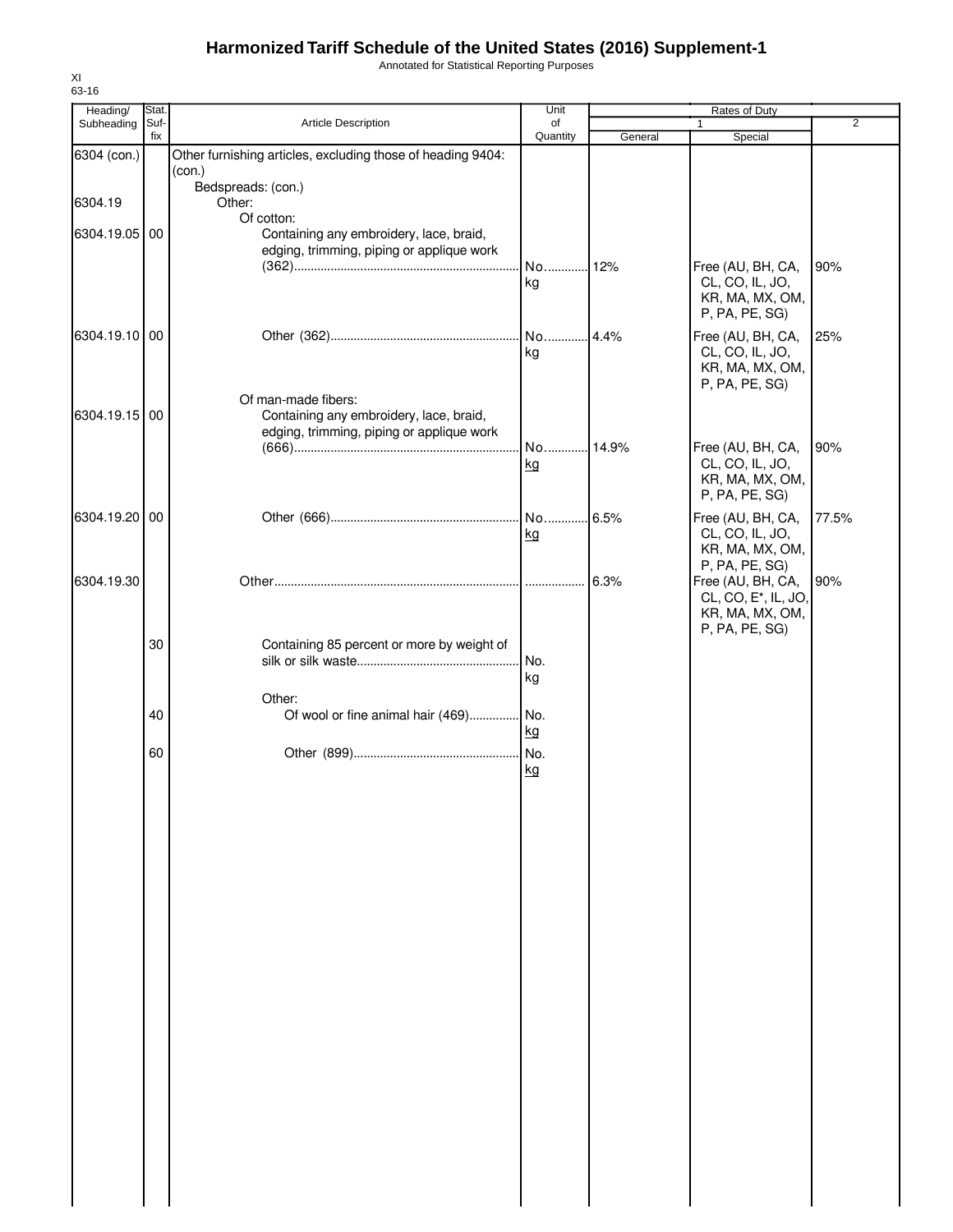Annotated for Statistical Reporting Purposes

| 63-16                  |               |                                                                                             | Unit     |         |                                                         |                |
|------------------------|---------------|---------------------------------------------------------------------------------------------|----------|---------|---------------------------------------------------------|----------------|
| Heading/<br>Subheading | Stat.<br>Suf- | Article Description                                                                         | of       |         | Rates of Duty<br>1                                      | $\overline{2}$ |
|                        | fix           |                                                                                             | Quantity | General | Special                                                 |                |
| 6304 (con.)            |               | Other furnishing articles, excluding those of heading 9404:<br>(con.)<br>Bedspreads: (con.) |          |         |                                                         |                |
| 6304.19                |               | Other:<br>Of cotton:                                                                        |          |         |                                                         |                |
| 6304.19.05 00          |               | Containing any embroidery, lace, braid,                                                     |          |         |                                                         |                |
|                        |               | edging, trimming, piping or applique work                                                   | No       | 12%     | Free (AU, BH, CA,                                       | 90%            |
|                        |               |                                                                                             | kg       |         | CL, CO, IL, JO,<br>KR, MA, MX, OM,<br>P, PA, PE, SG)    |                |
| 6304.19.10 00          |               |                                                                                             | No<br>kg | 4.4%    | Free (AU, BH, CA,<br>CL, CO, IL, JO,<br>KR, MA, MX, OM, | 25%            |
|                        |               | Of man-made fibers:                                                                         |          |         | P, PA, PE, SG)                                          |                |
| 6304.19.15 00          |               | Containing any embroidery, lace, braid,<br>edging, trimming, piping or applique work        |          |         |                                                         |                |
|                        |               |                                                                                             | No 14.9% |         | Free (AU, BH, CA,                                       | 90%            |
|                        |               |                                                                                             | kg       |         | CL, CO, IL, JO,<br>KR, MA, MX, OM,<br>P, PA, PE, SG)    |                |
| 6304.19.20 00          |               |                                                                                             |          | 6.5%    | Free (AU, BH, CA,                                       | 77.5%          |
|                        |               |                                                                                             | kg       |         | CL, CO, IL, JO,<br>KR, MA, MX, OM,                      |                |
| 6304.19.30             |               |                                                                                             |          | 6.3%    | P, PA, PE, SG)<br>Free (AU, BH, CA,                     | 90%            |
|                        |               |                                                                                             |          |         | CL, CO, E <sup>*</sup> , IL, JO,<br>KR, MA, MX, OM,     |                |
|                        |               |                                                                                             |          |         | P, PA, PE, SG)                                          |                |
|                        | 30            | Containing 85 percent or more by weight of                                                  | No.      |         |                                                         |                |
|                        |               |                                                                                             | kg       |         |                                                         |                |
|                        | 40            | Other:<br>Of wool or fine animal hair (469) No.                                             |          |         |                                                         |                |
|                        |               |                                                                                             | kg       |         |                                                         |                |
|                        | 60            |                                                                                             | No.      |         |                                                         |                |
|                        |               |                                                                                             | kg       |         |                                                         |                |
|                        |               |                                                                                             |          |         |                                                         |                |
|                        |               |                                                                                             |          |         |                                                         |                |
|                        |               |                                                                                             |          |         |                                                         |                |
|                        |               |                                                                                             |          |         |                                                         |                |
|                        |               |                                                                                             |          |         |                                                         |                |
|                        |               |                                                                                             |          |         |                                                         |                |
|                        |               |                                                                                             |          |         |                                                         |                |
|                        |               |                                                                                             |          |         |                                                         |                |
|                        |               |                                                                                             |          |         |                                                         |                |
|                        |               |                                                                                             |          |         |                                                         |                |
|                        |               |                                                                                             |          |         |                                                         |                |
|                        |               |                                                                                             |          |         |                                                         |                |
|                        |               |                                                                                             |          |         |                                                         |                |
|                        |               |                                                                                             |          |         |                                                         |                |
|                        |               |                                                                                             |          |         |                                                         |                |
|                        |               |                                                                                             |          |         |                                                         |                |

XI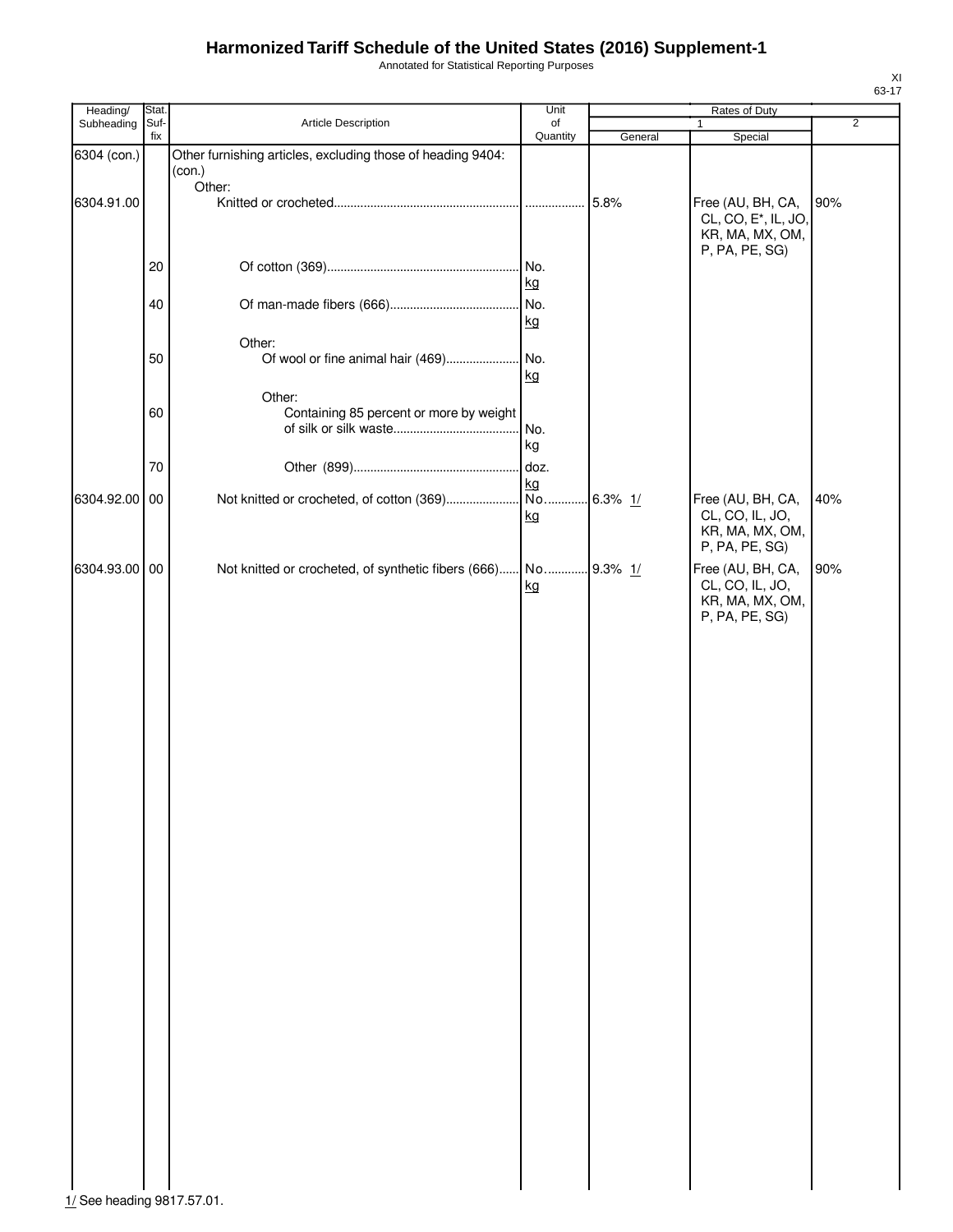Annotated for Statistical Reporting Purposes

| Heading/      | Stat.       |                                                             | Unit           |            | Rates of Duty                     |                |
|---------------|-------------|-------------------------------------------------------------|----------------|------------|-----------------------------------|----------------|
| Subheading    | Suf-<br>fix | Article Description                                         | of<br>Quantity | General    | 1<br>Special                      | $\overline{2}$ |
| 6304 (con.)   |             | Other furnishing articles, excluding those of heading 9404: |                |            |                                   |                |
|               |             | (con.)                                                      |                |            |                                   |                |
|               |             | Other:                                                      |                |            |                                   |                |
| 6304.91.00    |             |                                                             | .              | 5.8%       | Free (AU, BH, CA,                 | 90%            |
|               |             |                                                             |                |            | CL, CO, E <sup>*</sup> , IL, JO,  |                |
|               |             |                                                             |                |            | KR, MA, MX, OM,<br>P, PA, PE, SG) |                |
|               | 20          |                                                             | No.            |            |                                   |                |
|               |             |                                                             | kg             |            |                                   |                |
|               | 40          |                                                             | No.            |            |                                   |                |
|               |             |                                                             | kg             |            |                                   |                |
|               |             | Other:                                                      |                |            |                                   |                |
|               | 50          | Of wool or fine animal hair (469)                           | No.            |            |                                   |                |
|               |             |                                                             | kg             |            |                                   |                |
|               |             | Other:                                                      |                |            |                                   |                |
|               | 60          | Containing 85 percent or more by weight                     |                |            |                                   |                |
|               |             |                                                             | No.            |            |                                   |                |
|               |             |                                                             | kg             |            |                                   |                |
|               | 70          |                                                             | doz.           |            |                                   |                |
|               |             |                                                             | kg             |            |                                   |                |
| 6304.92.00 00 |             | Not knitted or crocheted, of cotton (369)                   | No.            | $6.3\%$ 1/ | Free (AU, BH, CA,                 | 40%            |
|               |             |                                                             | kg             |            | CL, CO, IL, JO,                   |                |
|               |             |                                                             |                |            | KR, MA, MX, OM,                   |                |
|               |             |                                                             |                |            | P, PA, PE, SG)                    |                |
| 6304.93.00 00 |             | Not knitted or crocheted, of synthetic fibers (666)         | No             | 9.3% $1/$  | Free (AU, BH, CA,                 | 90%            |
|               |             |                                                             | kg             |            | CL, CO, IL, JO,                   |                |
|               |             |                                                             |                |            | KR, MA, MX, OM,                   |                |
|               |             |                                                             |                |            | P, PA, PE, SG)                    |                |
|               |             |                                                             |                |            |                                   |                |
|               |             |                                                             |                |            |                                   |                |
|               |             |                                                             |                |            |                                   |                |
|               |             |                                                             |                |            |                                   |                |
|               |             |                                                             |                |            |                                   |                |
|               |             |                                                             |                |            |                                   |                |
|               |             |                                                             |                |            |                                   |                |
|               |             |                                                             |                |            |                                   |                |
|               |             |                                                             |                |            |                                   |                |
|               |             |                                                             |                |            |                                   |                |
|               |             |                                                             |                |            |                                   |                |
|               |             |                                                             |                |            |                                   |                |
|               |             |                                                             |                |            |                                   |                |
|               |             |                                                             |                |            |                                   |                |
|               |             |                                                             |                |            |                                   |                |
|               |             |                                                             |                |            |                                   |                |
|               |             |                                                             |                |            |                                   |                |
|               |             |                                                             |                |            |                                   |                |
|               |             |                                                             |                |            |                                   |                |
|               |             |                                                             |                |            |                                   |                |
|               |             |                                                             |                |            |                                   |                |
|               |             |                                                             |                |            |                                   |                |
|               |             |                                                             |                |            |                                   |                |
|               |             |                                                             |                |            |                                   |                |
|               |             |                                                             |                |            |                                   |                |
|               |             |                                                             |                |            |                                   |                |
|               |             |                                                             |                |            |                                   |                |
|               |             |                                                             |                |            |                                   |                |
|               |             |                                                             |                |            |                                   |                |
|               |             |                                                             |                |            |                                   |                |
|               |             |                                                             |                |            |                                   |                |
|               |             |                                                             |                |            |                                   |                |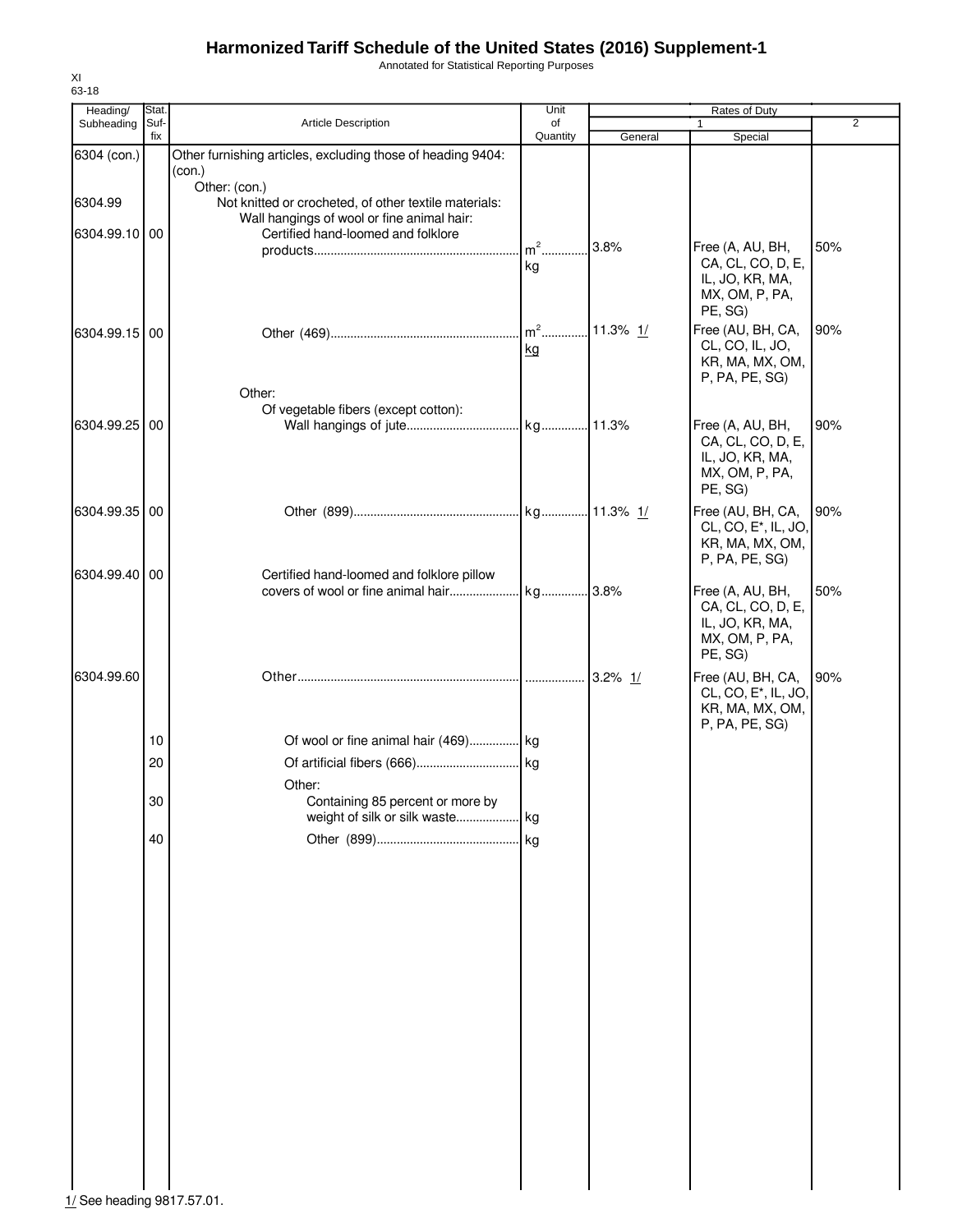Annotated for Statistical Reporting Purposes

| Heading/                   | Stat.       |                                                                                                                      | Unit           |            | Rates of Duty                                                                              |                |
|----------------------------|-------------|----------------------------------------------------------------------------------------------------------------------|----------------|------------|--------------------------------------------------------------------------------------------|----------------|
| Subheading                 | Suf-<br>fix | Article Description                                                                                                  | of<br>Quantity | General    | $\mathbf{1}$<br>Special                                                                    | $\overline{2}$ |
| 6304 (con.)                |             | Other furnishing articles, excluding those of heading 9404:<br>(con.)                                                |                |            |                                                                                            |                |
| 6304.99                    |             | Other: (con.)<br>Not knitted or crocheted, of other textile materials:<br>Wall hangings of wool or fine animal hair: |                |            |                                                                                            |                |
| 6304.99.10 00              |             | Certified hand-loomed and folklore                                                                                   | $m2$ .<br>kg   | 3.8%       | Free (A, AU, BH,<br>CA, CL, CO, D, E,<br>IL, JO, KR, MA,                                   | 50%            |
| 6304.99.15 00              |             |                                                                                                                      | $m2$<br>kg     | 11.3% $1/$ | MX, OM, P, PA,<br>PE, SG)<br>Free (AU, BH, CA,<br>CL, CO, IL, JO,<br>KR, MA, MX, OM,       | 90%            |
| 6304.99.25 00              |             | Other:<br>Of vegetable fibers (except cotton):                                                                       |                |            | P, PA, PE, SG)<br>Free (A, AU, BH,                                                         | 90%            |
|                            |             |                                                                                                                      |                |            | CA, CL, CO, D, E,<br>IL, JO, KR, MA,<br>MX, OM, P, PA,<br>PE, SG)                          |                |
| 6304.99.35 00              |             |                                                                                                                      |                |            | Free (AU, BH, CA,<br>CL, CO, E <sup>*</sup> , IL, JO,<br>KR, MA, MX, OM,<br>P, PA, PE, SG) | 90%            |
| 6304.99.40 00              |             | Certified hand-loomed and folklore pillow<br>covers of wool or fine animal hair                                      | kg 3.8%        |            | Free (A, AU, BH,<br>CA, CL, CO, D, E,<br>IL, JO, KR, MA,<br>MX, OM, P, PA,<br>PE, SG)      | 50%            |
| 6304.99.60                 |             |                                                                                                                      |                |            | Free (AU, BH, CA,<br>CL, CO, E <sup>*</sup> , IL, JO,<br>KR, MA, MX, OM,                   | 90%            |
|                            | 10          | Of wool or fine animal hair (469) kg                                                                                 |                |            | P, PA, PE, SG)                                                                             |                |
|                            | 20          |                                                                                                                      |                |            |                                                                                            |                |
|                            | 30          | Other:<br>Containing 85 percent or more by                                                                           |                |            |                                                                                            |                |
|                            | 40          |                                                                                                                      | kg             |            |                                                                                            |                |
|                            |             |                                                                                                                      |                |            |                                                                                            |                |
|                            |             |                                                                                                                      |                |            |                                                                                            |                |
|                            |             |                                                                                                                      |                |            |                                                                                            |                |
|                            |             |                                                                                                                      |                |            |                                                                                            |                |
|                            |             |                                                                                                                      |                |            |                                                                                            |                |
|                            |             |                                                                                                                      |                |            |                                                                                            |                |
| 1/ See heading 9817.57.01. |             |                                                                                                                      |                |            |                                                                                            |                |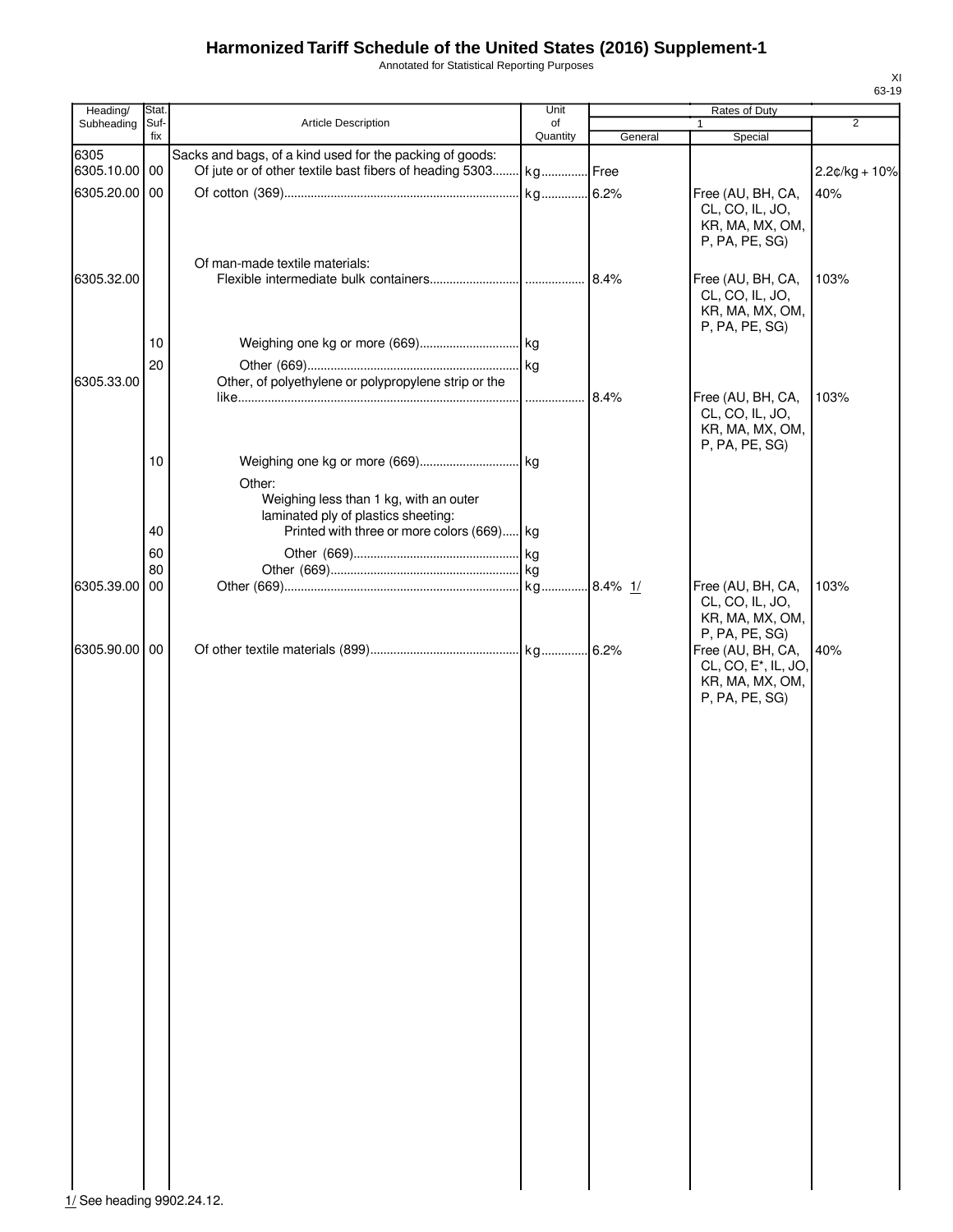Annotated for Statistical Reporting Purposes

| Heading/              | Stat.       |                                                                                                                             | Unit           |         | <b>Rates of Duty</b>                                                                       |                 |
|-----------------------|-------------|-----------------------------------------------------------------------------------------------------------------------------|----------------|---------|--------------------------------------------------------------------------------------------|-----------------|
| Subheading            | Suf-<br>fix | Article Description                                                                                                         | of<br>Quantity | General | $\mathbf{1}$<br>Special                                                                    | $\overline{2}$  |
| 6305<br>6305.10.00 00 |             | Sacks and bags, of a kind used for the packing of goods:<br>Of jute or of other textile bast fibers of heading 5303 kg Free |                |         |                                                                                            | $2.2¢/kg + 10%$ |
| 6305.20.00            | 00          |                                                                                                                             |                |         | Free (AU, BH, CA,<br>CL, CO, IL, JO,<br>KR, MA, MX, OM,<br>P, PA, PE, SG)                  | 40%             |
| 6305.32.00            |             | Of man-made textile materials:                                                                                              |                |         | Free (AU, BH, CA,<br>CL, CO, IL, JO,<br>KR, MA, MX, OM,                                    | 103%            |
|                       | 10<br>20    |                                                                                                                             |                |         | P, PA, PE, SG)                                                                             |                 |
| 6305.33.00            |             | Other, of polyethylene or polypropylene strip or the                                                                        |                | 8.4%    | Free (AU, BH, CA,<br>CL, CO, IL, JO,<br>KR, MA, MX, OM,<br>P, PA, PE, SG)                  | 103%            |
|                       | 10          | Other:<br>Weighing less than 1 kg, with an outer<br>laminated ply of plastics sheeting:                                     |                |         |                                                                                            |                 |
|                       | 40<br>60    | Printed with three or more colors (669) kg                                                                                  |                |         |                                                                                            |                 |
| 6305.39.00            | 80<br>00    |                                                                                                                             |                |         | Free (AU, BH, CA,<br>CL, CO, IL, JO,<br>KR, MA, MX, OM,<br>P, PA, PE, SG)                  | 103%            |
| 6305.90.00            | 00          |                                                                                                                             |                |         | Free (AU, BH, CA,<br>CL, CO, E <sup>*</sup> , IL, JO,<br>KR, MA, MX, OM,<br>P, PA, PE, SG) | 40%             |
|                       |             |                                                                                                                             |                |         |                                                                                            |                 |
|                       |             |                                                                                                                             |                |         |                                                                                            |                 |
|                       |             |                                                                                                                             |                |         |                                                                                            |                 |
|                       |             |                                                                                                                             |                |         |                                                                                            |                 |
|                       |             |                                                                                                                             |                |         |                                                                                            |                 |
|                       |             |                                                                                                                             |                |         |                                                                                            |                 |
|                       |             |                                                                                                                             |                |         |                                                                                            |                 |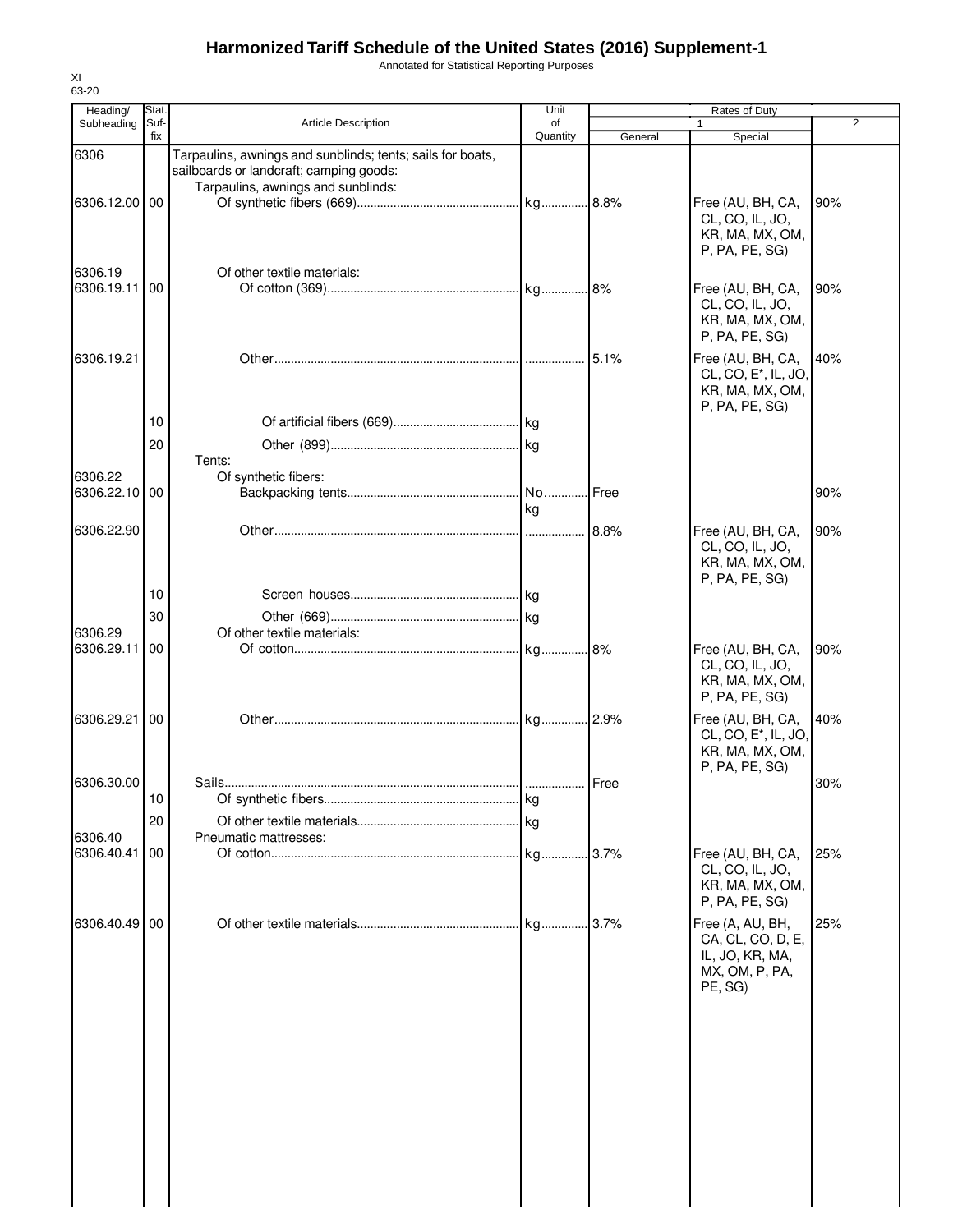Annotated for Statistical Reporting Purposes

| Heading/      | Stat.       |                                                                                                       | Unit           |         | Rates of Duty                                                                              |                |
|---------------|-------------|-------------------------------------------------------------------------------------------------------|----------------|---------|--------------------------------------------------------------------------------------------|----------------|
| Subheading    | Suf-<br>fix | <b>Article Description</b>                                                                            | οf<br>Quantity | General | Special                                                                                    | $\overline{2}$ |
| 6306          |             | Tarpaulins, awnings and sunblinds; tents; sails for boats,<br>sailboards or landcraft; camping goods: |                |         |                                                                                            |                |
|               |             | Tarpaulins, awnings and sunblinds:                                                                    |                |         |                                                                                            |                |
| 6306.12.00 00 |             |                                                                                                       |                |         | Free (AU, BH, CA,<br>CL, CO, IL, JO,<br>KR, MA, MX, OM,<br>P, PA, PE, SG)                  | 90%            |
| 6306.19       |             | Of other textile materials:                                                                           |                |         |                                                                                            |                |
| 6306.19.11 00 |             |                                                                                                       |                |         | Free (AU, BH, CA,<br>CL, CO, IL, JO,<br>KR, MA, MX, OM,<br>P, PA, PE, SG)                  | 90%            |
| 6306.19.21    |             |                                                                                                       |                |         | Free (AU, BH, CA,<br>CL, CO, E <sup>*</sup> , IL, JO,<br>KR, MA, MX, OM,<br>P, PA, PE, SG) | 40%            |
|               | 10          |                                                                                                       |                |         |                                                                                            |                |
|               | 20          |                                                                                                       |                |         |                                                                                            |                |
|               |             | Tents:                                                                                                |                |         |                                                                                            |                |
| 6306.22       |             | Of synthetic fibers:                                                                                  |                |         |                                                                                            |                |
| 6306.22.10 00 |             |                                                                                                       | No Free<br>kg  |         |                                                                                            | 90%            |
| 6306.22.90    |             |                                                                                                       |                |         | Free (AU, BH, CA,<br>CL, CO, IL, JO,<br>KR, MA, MX, OM,                                    | 90%            |
|               |             |                                                                                                       |                |         | P, PA, PE, SG)                                                                             |                |
|               | 10          |                                                                                                       |                |         |                                                                                            |                |
| 6306.29       | 30          | Of other textile materials:                                                                           |                |         |                                                                                            |                |
| 6306.29.11    | 00          |                                                                                                       |                |         | Free (AU, BH, CA,                                                                          | 90%            |
|               |             |                                                                                                       |                |         | CL, CO, IL, JO,<br>KR, MA, MX, OM,<br>P, PA, PE, SG)                                       |                |
| 6306.29.21    | 00          |                                                                                                       |                |         | Free (AU, BH, CA,<br>CL, CO, E <sup>*</sup> , IL, JO,<br>KR, MA, MX, OM,                   | 40%            |
| 6306.30.00    |             |                                                                                                       |                |         | P, PA, PE, SG)                                                                             | 30%            |
|               | 10          |                                                                                                       |                |         |                                                                                            |                |
|               | 20          |                                                                                                       |                |         |                                                                                            |                |
| 6306.40       |             | Pneumatic mattresses:                                                                                 |                |         |                                                                                            |                |
| 6306.40.41    | 00          |                                                                                                       |                |         | Free (AU, BH, CA,<br>CL, CO, IL, JO,<br>KR, MA, MX, OM,<br>P, PA, PE, SG)                  | 25%            |
| 6306.40.49 00 |             |                                                                                                       |                |         | Free (A, AU, BH,<br>CA, CL, CO, D, E,<br>IL, JO, KR, MA,<br>MX, OM, P, PA,<br>PE, SG)      | 25%            |
|               |             |                                                                                                       |                |         |                                                                                            |                |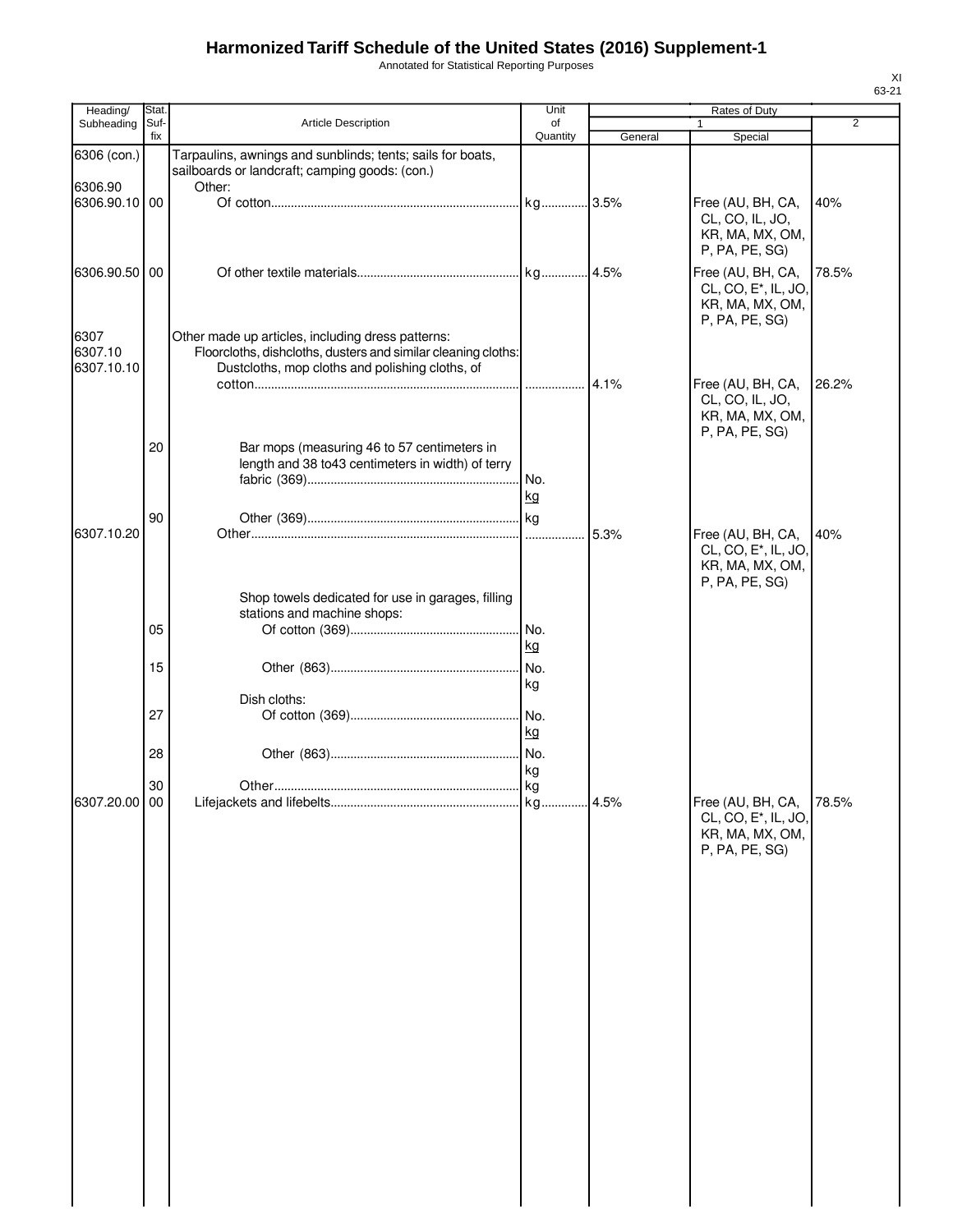Annotated for Statistical Reporting Purposes

| Heading/                      | Stat |                                                                                                                                                                       | Unit            |         | Rates of Duty                                                                              |                |
|-------------------------------|------|-----------------------------------------------------------------------------------------------------------------------------------------------------------------------|-----------------|---------|--------------------------------------------------------------------------------------------|----------------|
| Subheading                    | Suf- | <b>Article Description</b>                                                                                                                                            | of              |         | 1                                                                                          | $\overline{2}$ |
|                               | fix  |                                                                                                                                                                       | Quantity        | General | Special                                                                                    |                |
| 6306 (con.)<br>6306.90        |      | Tarpaulins, awnings and sunblinds; tents; sails for boats,<br>sailboards or landcraft; camping goods: (con.)<br>Other:                                                |                 |         |                                                                                            |                |
| 6306.90.10 00                 |      |                                                                                                                                                                       |                 |         | Free (AU, BH, CA,<br>CL, CO, IL, JO,<br>KR, MA, MX, OM,<br>P, PA, PE, SG)                  | 40%            |
| 6306.90.50                    | 00   |                                                                                                                                                                       |                 |         | Free (AU, BH, CA,<br>CL, CO, E <sup>*</sup> , IL, JO,<br>KR, MA, MX, OM,<br>P, PA, PE, SG) | 78.5%          |
| 6307<br>6307.10<br>6307.10.10 |      | Other made up articles, including dress patterns:<br>Floorcloths, dishcloths, dusters and similar cleaning cloths:<br>Dustcloths, mop cloths and polishing cloths, of |                 | 4.1%    | Free (AU, BH, CA,                                                                          | 26.2%          |
|                               | 20   | Bar mops (measuring 46 to 57 centimeters in                                                                                                                           |                 |         | CL, CO, IL, JO,<br>KR, MA, MX, OM,<br>P, PA, PE, SG)                                       |                |
|                               |      | length and 38 to43 centimeters in width) of terry                                                                                                                     | kg              |         |                                                                                            |                |
| 6307.10.20                    | 90   |                                                                                                                                                                       |                 | 5.3%    | Free (AU, BH, CA,<br>CL, CO, E <sup>*</sup> , IL, JO,<br>KR, MA, MX, OM,<br>P, PA, PE, SG) | 40%            |
|                               | 05   | Shop towels dedicated for use in garages, filling<br>stations and machine shops:                                                                                      |                 |         |                                                                                            |                |
|                               | 15   |                                                                                                                                                                       | kg<br>No.<br>kg |         |                                                                                            |                |
|                               | 27   | Dish cloths:                                                                                                                                                          | No.<br>kg       |         |                                                                                            |                |
|                               | 28   |                                                                                                                                                                       | kg              |         |                                                                                            |                |
| 6307.20.00 00                 | 30   |                                                                                                                                                                       |                 |         | Free (AU, BH, CA,<br>CL, CO, E <sup>*</sup> , IL, JO,<br>KR, MA, MX, OM,<br>P, PA, PE, SG) | 78.5%          |
|                               |      |                                                                                                                                                                       |                 |         |                                                                                            |                |
|                               |      |                                                                                                                                                                       |                 |         |                                                                                            |                |
|                               |      |                                                                                                                                                                       |                 |         |                                                                                            |                |
|                               |      |                                                                                                                                                                       |                 |         |                                                                                            |                |
|                               |      |                                                                                                                                                                       |                 |         |                                                                                            |                |
|                               |      |                                                                                                                                                                       |                 |         |                                                                                            |                |
|                               |      |                                                                                                                                                                       |                 |         |                                                                                            |                |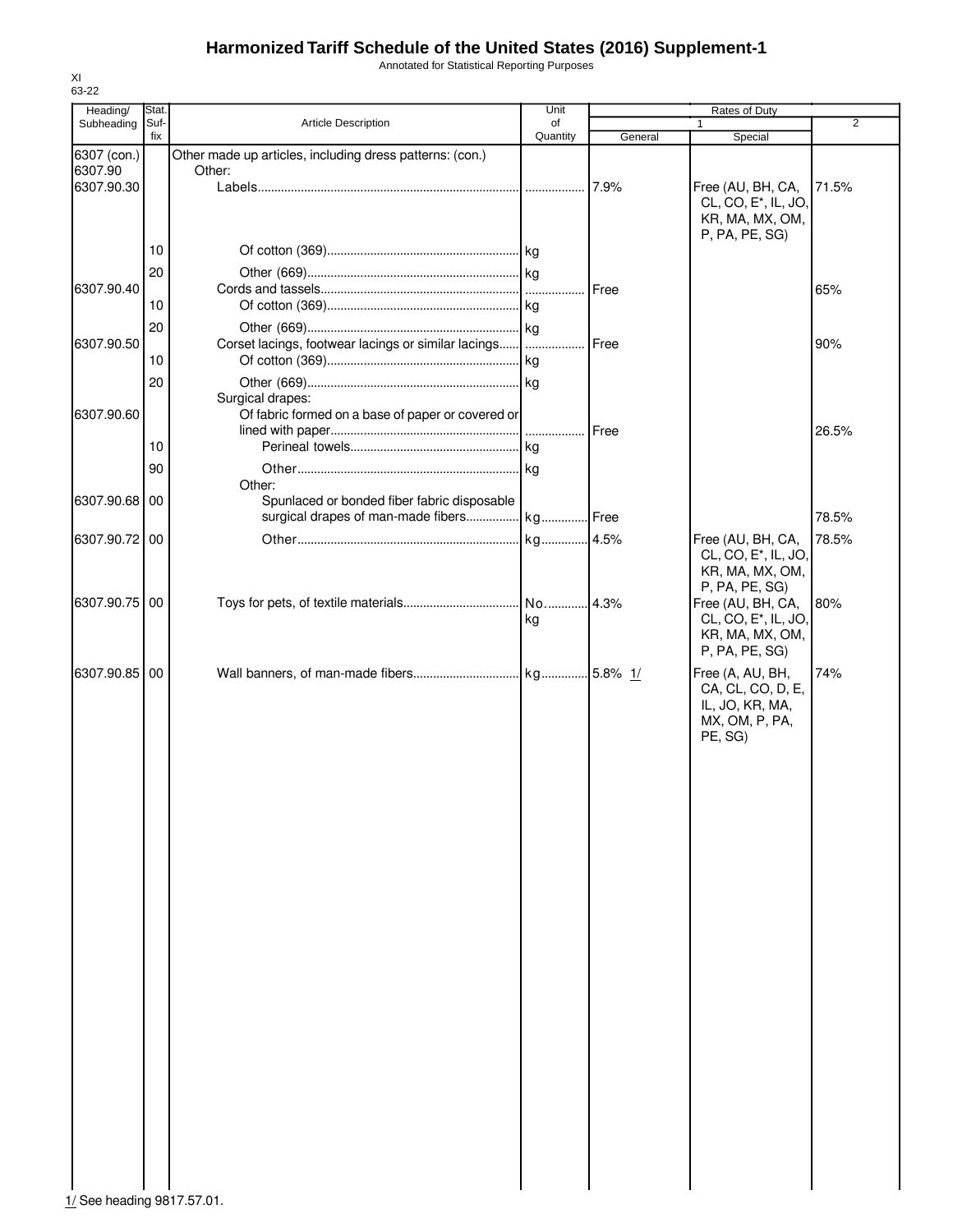Annotated for Statistical Reporting Purposes

| Heading/                   | Stat. |                                                                    | Unit     |         | Rates of Duty                                         |                |
|----------------------------|-------|--------------------------------------------------------------------|----------|---------|-------------------------------------------------------|----------------|
| Subheading                 | Suf-  | <b>Article Description</b>                                         | of       |         | 1                                                     | $\overline{2}$ |
|                            | fix   |                                                                    | Quantity | General | Special                                               |                |
| 6307 (con.)<br>6307.90     |       | Other made up articles, including dress patterns: (con.)<br>Other: |          |         |                                                       |                |
| 6307.90.30                 |       |                                                                    |          | 7.9%    | Free (AU, BH, CA,                                     | 71.5%          |
|                            |       |                                                                    |          |         | CL, CO, E <sup>*</sup> , IL, JO,                      |                |
|                            |       |                                                                    |          |         | KR, MA, MX, OM,                                       |                |
|                            |       |                                                                    |          |         | P, PA, PE, SG)                                        |                |
|                            | 10    |                                                                    |          |         |                                                       |                |
|                            | 20    |                                                                    |          |         |                                                       |                |
| 6307.90.40                 |       |                                                                    |          | Free    |                                                       | 65%            |
|                            | 10    |                                                                    |          |         |                                                       |                |
|                            | 20    |                                                                    |          |         |                                                       |                |
| 6307.90.50                 |       | Corset lacings, footwear lacings or similar lacings      Free      |          |         |                                                       | 90%            |
|                            | 10    |                                                                    |          |         |                                                       |                |
|                            | 20    |                                                                    |          |         |                                                       |                |
|                            |       | Surgical drapes:                                                   |          |         |                                                       |                |
| 6307.90.60                 |       | Of fabric formed on a base of paper or covered or                  |          |         |                                                       |                |
|                            |       |                                                                    |          | Free    |                                                       | 26.5%          |
|                            | 10    |                                                                    |          |         |                                                       |                |
|                            | 90    |                                                                    |          |         |                                                       |                |
|                            |       | Other:                                                             |          |         |                                                       |                |
| 6307.90.68 00              |       | Spunlaced or bonded fiber fabric disposable                        |          |         |                                                       |                |
|                            |       | surgical drapes of man-made fibers kg Free                         |          |         |                                                       | 78.5%          |
| 6307.90.72 00              |       |                                                                    |          |         | Free (AU, BH, CA,                                     | 78.5%          |
|                            |       |                                                                    |          |         | CL, CO, E <sup>*</sup> , IL, JO,                      |                |
|                            |       |                                                                    |          |         | KR, MA, MX, OM,                                       |                |
| 6307.90.75 00              |       |                                                                    |          |         | P, PA, PE, SG)                                        | 80%            |
|                            |       |                                                                    | kg       |         | Free (AU, BH, CA,<br>CL, CO, E <sup>*</sup> , IL, JO, |                |
|                            |       |                                                                    |          |         | KR, MA, MX, OM,                                       |                |
|                            |       |                                                                    |          |         | P, PA, PE, SG)                                        |                |
| 6307.90.85 00              |       |                                                                    |          |         | Free (A, AU, BH,                                      | 74%            |
|                            |       |                                                                    |          |         | CA, CL, CO, D, E,                                     |                |
|                            |       |                                                                    |          |         | IL, JO, KR, MA,                                       |                |
|                            |       |                                                                    |          |         | MX, OM, P, PA,                                        |                |
|                            |       |                                                                    |          |         | PE, SG)                                               |                |
|                            |       |                                                                    |          |         |                                                       |                |
|                            |       |                                                                    |          |         |                                                       |                |
|                            |       |                                                                    |          |         |                                                       |                |
|                            |       |                                                                    |          |         |                                                       |                |
|                            |       |                                                                    |          |         |                                                       |                |
|                            |       |                                                                    |          |         |                                                       |                |
|                            |       |                                                                    |          |         |                                                       |                |
|                            |       |                                                                    |          |         |                                                       |                |
|                            |       |                                                                    |          |         |                                                       |                |
|                            |       |                                                                    |          |         |                                                       |                |
|                            |       |                                                                    |          |         |                                                       |                |
|                            |       |                                                                    |          |         |                                                       |                |
|                            |       |                                                                    |          |         |                                                       |                |
|                            |       |                                                                    |          |         |                                                       |                |
|                            |       |                                                                    |          |         |                                                       |                |
|                            |       |                                                                    |          |         |                                                       |                |
|                            |       |                                                                    |          |         |                                                       |                |
|                            |       |                                                                    |          |         |                                                       |                |
|                            |       |                                                                    |          |         |                                                       |                |
|                            |       |                                                                    |          |         |                                                       |                |
|                            |       |                                                                    |          |         |                                                       |                |
|                            |       |                                                                    |          |         |                                                       |                |
|                            |       |                                                                    |          |         |                                                       |                |
|                            |       |                                                                    |          |         |                                                       |                |
|                            |       |                                                                    |          |         |                                                       |                |
| 1/ See heading 9817.57.01. |       |                                                                    |          |         |                                                       |                |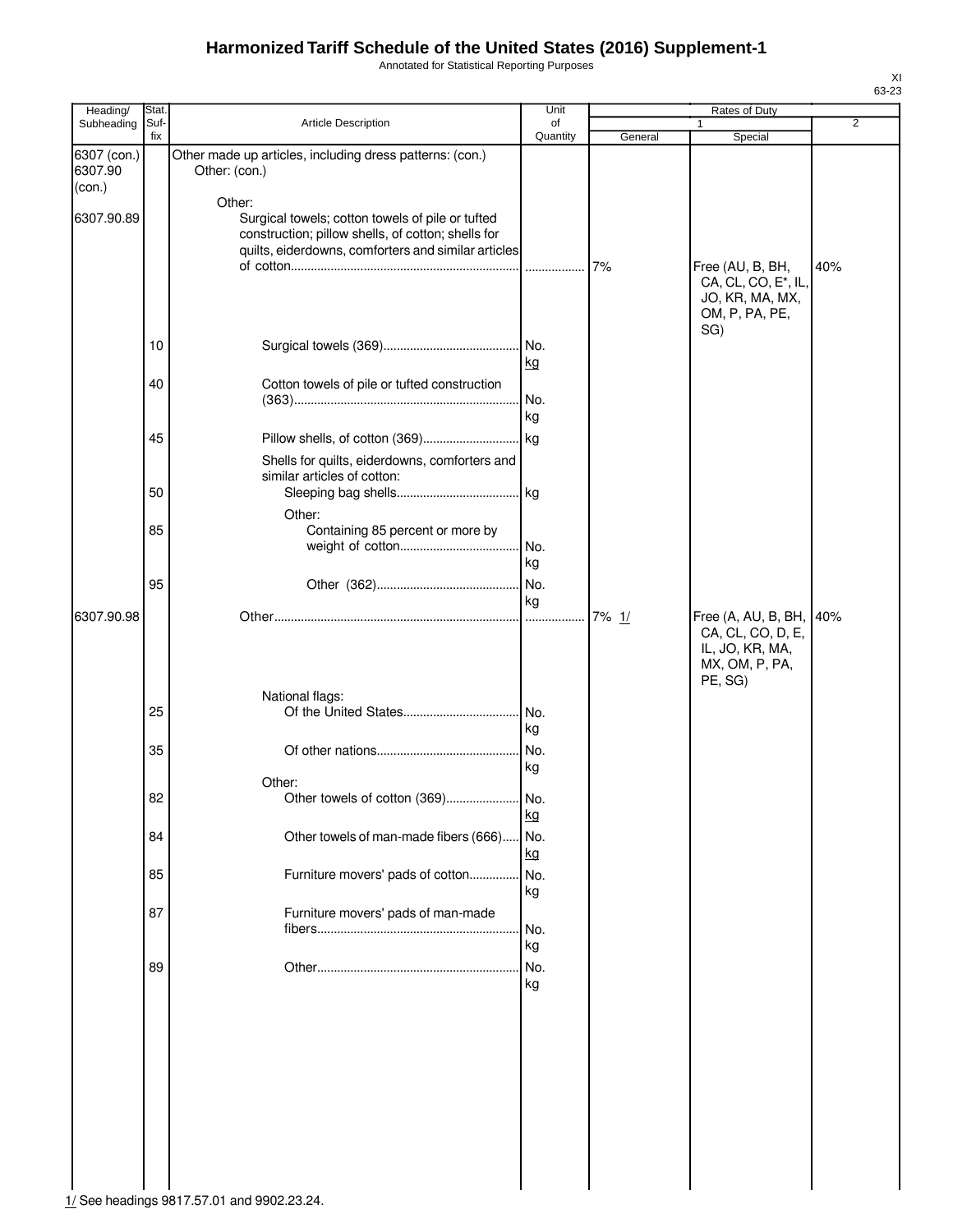Annotated for Statistical Reporting Purposes

| Heading/                         | Stat.       |                                                                                                                                                                         | Unit             |         | Rates of Duty                                                                            |     |
|----------------------------------|-------------|-------------------------------------------------------------------------------------------------------------------------------------------------------------------------|------------------|---------|------------------------------------------------------------------------------------------|-----|
| Subheading                       | Suf-<br>fix | Article Description                                                                                                                                                     | of<br>Quantity   | General | $\mathbf{1}$<br>Special                                                                  | 2   |
| 6307 (con.)<br>6307.90<br>(con.) |             | Other made up articles, including dress patterns: (con.)<br>Other: (con.)                                                                                               |                  |         |                                                                                          |     |
| 6307.90.89                       |             | Other:<br>Surgical towels; cotton towels of pile or tufted<br>construction; pillow shells, of cotton; shells for<br>quilts, eiderdowns, comforters and similar articles |                  | 7%      | Free (AU, B, BH,<br>CA, CL, CO, E*, IL,<br>JO, KR, MA, MX,<br>OM, P, PA, PE,<br>SG)      | 40% |
|                                  | 10          |                                                                                                                                                                         | . No.<br>kg      |         |                                                                                          |     |
|                                  | 40          | Cotton towels of pile or tufted construction                                                                                                                            | No.<br>kg        |         |                                                                                          |     |
|                                  | 45          | Shells for quilts, eiderdowns, comforters and                                                                                                                           |                  |         |                                                                                          |     |
|                                  | 50          | similar articles of cotton:                                                                                                                                             |                  |         |                                                                                          |     |
|                                  | 85          | Other:<br>Containing 85 percent or more by                                                                                                                              | No.<br>kg        |         |                                                                                          |     |
|                                  | 95          |                                                                                                                                                                         | No.<br>kg        |         |                                                                                          |     |
| 6307.90.98                       |             | National flags:                                                                                                                                                         |                  | 7% 1/   | Free (A, AU, B, BH,<br>CA, CL, CO, D, E,<br>IL, JO, KR, MA,<br>MX, OM, P, PA,<br>PE, SG) | 40% |
|                                  | 25<br>35    |                                                                                                                                                                         | No.<br>kg<br>No. |         |                                                                                          |     |
|                                  |             | Other:                                                                                                                                                                  | kg               |         |                                                                                          |     |
|                                  | 82          | Other towels of cotton (369)                                                                                                                                            | No.<br>kg        |         |                                                                                          |     |
|                                  | 84          | Other towels of man-made fibers (666)                                                                                                                                   | No.<br>kg        |         |                                                                                          |     |
|                                  | 85<br>87    | Furniture movers' pads of cotton<br>Furniture movers' pads of man-made                                                                                                  | No.<br>kg        |         |                                                                                          |     |
|                                  |             |                                                                                                                                                                         | No.<br>kg        |         |                                                                                          |     |
|                                  | 89          |                                                                                                                                                                         | No.<br>kg        |         |                                                                                          |     |
|                                  |             |                                                                                                                                                                         |                  |         |                                                                                          |     |
|                                  |             |                                                                                                                                                                         |                  |         |                                                                                          |     |
|                                  |             |                                                                                                                                                                         |                  |         |                                                                                          |     |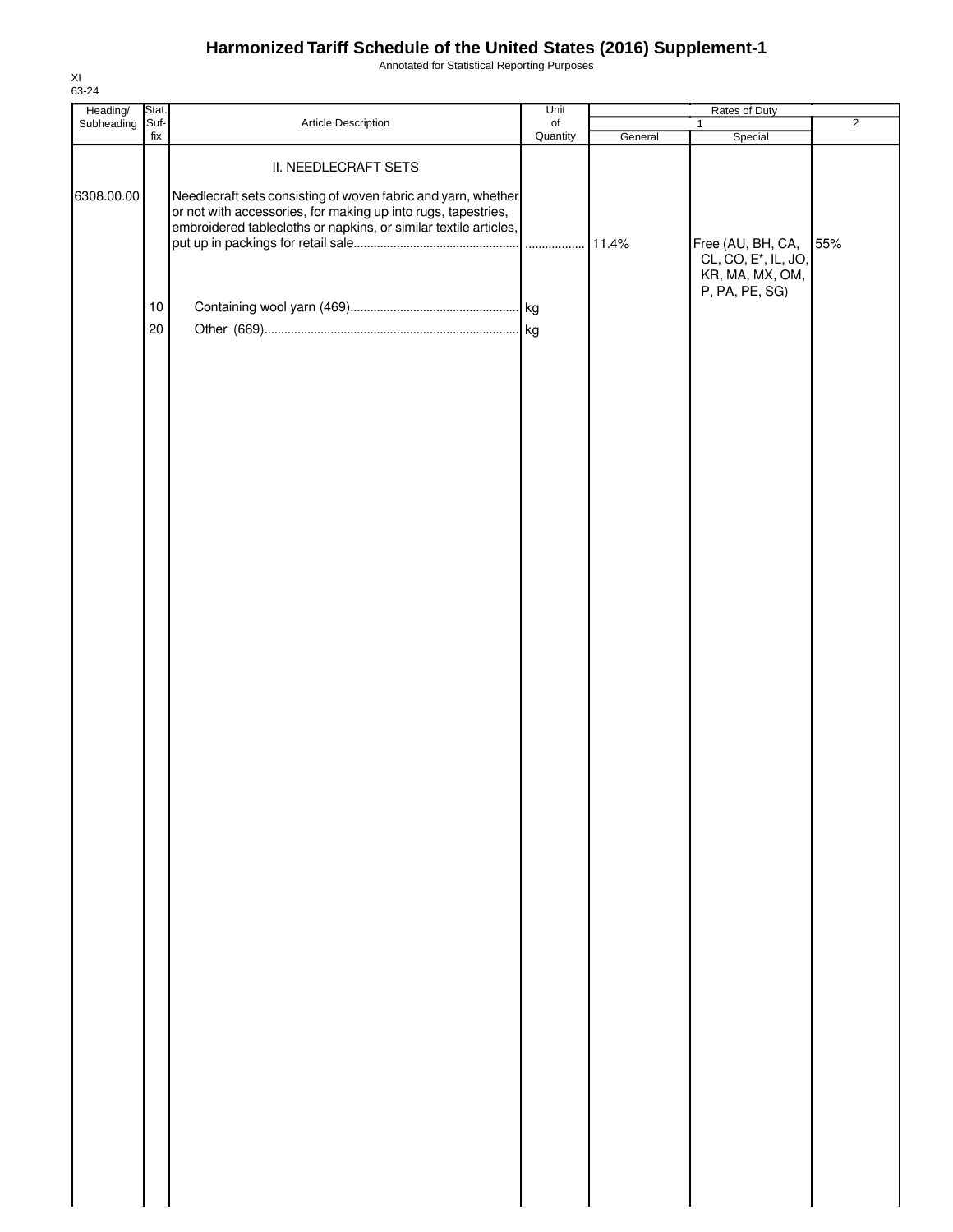Annotated for Statistical Reporting Purposes

| Heading/                      | Stat.             |                                                                                                                                                                                                                                                   | Unit           |         | Rates of Duty                                                                                                         |                       |  |
|-------------------------------|-------------------|---------------------------------------------------------------------------------------------------------------------------------------------------------------------------------------------------------------------------------------------------|----------------|---------|-----------------------------------------------------------------------------------------------------------------------|-----------------------|--|
|                               |                   |                                                                                                                                                                                                                                                   |                |         |                                                                                                                       |                       |  |
| Subheading Suf-<br>6308.00.00 | fix<br>$10$<br>20 | Article Description<br>II. NEEDLECRAFT SETS<br>Needlecraft sets consisting of woven fabric and yarn, whether<br>or not with accessories, for making up into rugs, tapestries,<br>embroidered tablecloths or napkins, or similar textile articles, | of<br>Quantity | General | $\mathbf{1}$<br>Special<br>Free (AU, BH, CA,<br>CL, CO, E <sup>*</sup> , IL, JO,<br>KR, MA, MX, OM,<br>P, PA, PE, SG) | $\overline{2}$<br>55% |  |
|                               |                   |                                                                                                                                                                                                                                                   |                |         |                                                                                                                       |                       |  |
|                               |                   |                                                                                                                                                                                                                                                   |                |         |                                                                                                                       |                       |  |